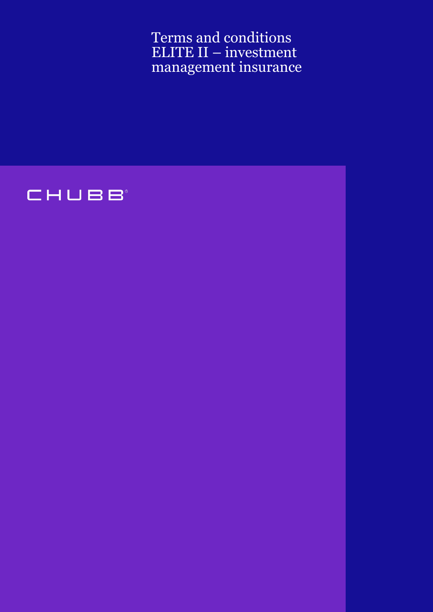Terms and conditions ELITE II – investment management insurance

# CHUBB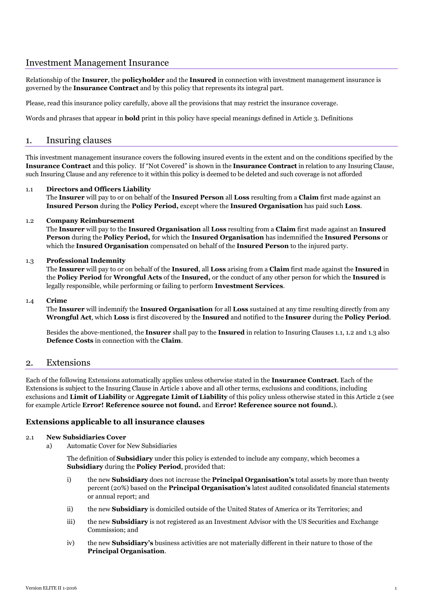# Investment Management Insurance

Relationship of the **Insurer**, the **policyholder** and the **Insured** in connection with investment management insurance is governed by the **Insurance Contract** and by this policy that represents its integral part.

Please, read this insurance policy carefully, above all the provisions that may restrict the insurance coverage.

Words and phrases that appear in **bold** print in this policy have special meanings defined in Article 3. Definitions

# 1. Insuring clauses

This investment management insurance covers the following insured events in the extent and on the conditions specified by the **Insurance Contract** and this policy. If "Not Covered" is shown in the **Insurance Contract** in relation to any Insuring Clause, such Insuring Clause and any reference to it within this policy is deemed to be deleted and such coverage is not afforded

## 1.1 **Directors and Officers Liability**

The **Insurer** will pay to or on behalf of the **Insured Person** all **Loss** resulting from a **Claim** first made against an **Insured Person** during the **Policy Period,** except where the **Insured Organisation** has paid such **Loss**.

## 1.2 **Company Reimbursement**

The **Insurer** will pay to the **Insured Organisation** all **Loss** resulting from a **Claim** first made against an **Insured Person** during the **Policy Period,** for which the **Insured Organisation** has indemnified the **Insured Persons** or which the **Insured Organisation** compensated on behalf of the **Insured Person** to the injured party.

## 1.3 **Professional Indemnity**

The **Insurer** will pay to or on behalf of the **Insured**, all **Loss** arising from a **Claim** first made against the **Insured** in the **Policy Period** for **Wrongful Acts** of the **Insured,** or the conduct of any other person for which the **Insured** is legally responsible, while performing or failing to perform **Investment Services**.

## 1.4 **Crime**

The **Insurer** will indemnify the **Insured Organisation** for all **Loss** sustained at any time resulting directly from any **Wrongful Act**, which **Loss** is first discovered by the **Insured** and notified to the **Insurer** during the **Policy Period**.

Besides the above-mentioned, the **Insurer** shall pay to the **Insured** in relation to Insuring Clauses 1.1, 1.2 and 1.3 also **Defence Costs** in connection with the **Claim**.

# 2. Extensions

Each of the following Extensions automatically applies unless otherwise stated in the **Insurance Contract**. Each of the Extensions is subject to the Insuring Clause in Article 1 above and all other terms, exclusions and conditions, including exclusions and **Limit of Liability** or **Aggregate Limit of Liability** of this policy unless otherwise stated in this Article 2 (see for example Article **Error! Reference source not found.** and **Error! Reference source not found.**).

## **Extensions applicable to all insurance clauses**

#### 2.1 **New Subsidiaries Cover**

a) Automatic Cover for New Subsidiaries

The definition of **Subsidiary** under this policy is extended to include any company, which becomes a **Subsidiary** during the **Policy Period**, provided that:

- i) the new **Subsidiary** does not increase the **Principal Organisation's** total assets by more than twenty percent (20%) based on the **Principal Organisation's** latest audited consolidated financial statements or annual report; and
- ii) the new **Subsidiary** is domiciled outside of the United States of America or its Territories; and
- iii) the new **Subsidiary** is not registered as an Investment Advisor with the US Securities and Exchange Commission; and
- iv) the new **Subsidiary's** business activities are not materially different in their nature to those of the **Principal Organisation**.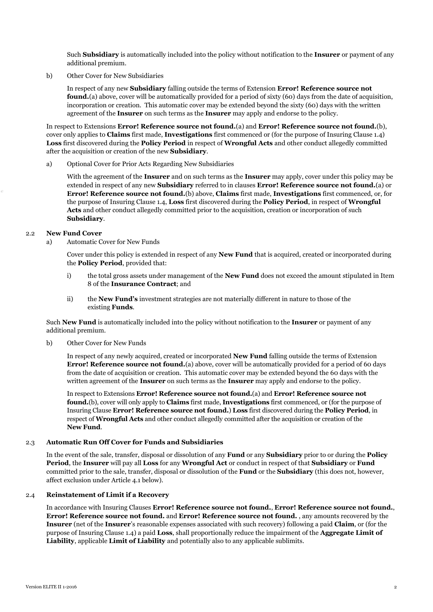Such **Subsidiary** is automatically included into the policy without notification to the **Insurer** or payment of any additional premium.

b) Other Cover for New Subsidiaries

In respect of any new **Subsidiary** falling outside the terms of Extension **Error! Reference source not found.** (a) above, cover will be automatically provided for a period of sixty (60) days from the date of acquisition, incorporation or creation. This automatic cover may be extended beyond the sixty (60) days with the written agreement of the **Insurer** on such terms as the **Insurer** may apply and endorse to the policy.

In respect to Extensions **Error! Reference source not found.**(a) and **Error! Reference source not found.**(b), cover only applies to **Claims** first made, **Investigations** first commenced or (for the purpose of Insuring Clause 1.4) **Loss** first discovered during the **Policy Period** in respect of **Wrongful Acts** and other conduct allegedly committed after the acquisition or creation of the new **Subsidiary**.

a) Optional Cover for Prior Acts Regarding New Subsidiaries

With the agreement of the **Insurer** and on such terms as the **Insurer** may apply, cover under this policy may be extended in respect of any new **Subsidiary** referred to in clauses **Error! Reference source not found.**(a) or **Error! Reference source not found.**(b) above, **Claims** first made, **Investigations** first commenced, or, for the purpose of Insuring Clause 1.4, **Loss** first discovered during the **Policy Period**, in respect of **Wrongful Acts** and other conduct allegedly committed prior to the acquisition, creation or incorporation of such **Subsidiary**.

## 2.2 **New Fund Cover**

a) Automatic Cover for New Funds

Cover under this policy is extended in respect of any **New Fund** that is acquired, created or incorporated during the **Policy Period**, provided that:

- i) the total gross assets under management of the **New Fund** does not exceed the amount stipulated in Item 8 of the **Insurance Contract**; and
- ii) the **New Fund's** investment strategies are not materially different in nature to those of the existing **Funds**.

Such **New Fund** is automatically included into the policy without notification to the **Insurer** or payment of any additional premium.

b) Other Cover for New Funds

In respect of any newly acquired, created or incorporated **New Fund** falling outside the terms of Extension **Error! Reference source not found.**(a) above, cover will be automatically provided for a period of 60 days from the date of acquisition or creation. This automatic cover may be extended beyond the 60 days with the written agreement of the **Insurer** on such terms as the **Insurer** may apply and endorse to the policy.

In respect to Extensions **Error! Reference source not found.**(a) and **Error! Reference source not found.**(b), cover will only apply to **Claims** first made, **Investigations** first commenced, or (for the purpose of Insuring Clause **Error! Reference source not found.**) **Loss** first discovered during the **Policy Period**, in respect of **Wrongful Acts** and other conduct allegedly committed after the acquisition or creation of the **New Fund**.

#### 2.3 **Automatic Run Off Cover for Funds and Subsidiaries**

In the event of the sale, transfer, disposal or dissolution of any **Fund** or any **Subsidiary** prior to or during the **Policy Period**, the **Insurer** will pay all **Loss** for any **Wrongful Act** or conduct in respect of that **Subsidiary** or **Fund** committed prior to the sale, transfer, disposal or dissolution of the **Fund** or the **Subsidiary** (this does not, however, affect exclusion under Article 4.1 below).

#### 2.4 **Reinstatement of Limit if a Recovery**

In accordance with Insuring Clauses **Error! Reference source not found.**, **Error! Reference source not found.**, **Error! Reference source not found.** and **Error! Reference source not found.** , any amounts recovered by the **Insurer** (net of the **Insurer**'s reasonable expenses associated with such recovery) following a paid **Claim**, or (for the purpose of Insuring Clause 1.4) a paid **Loss**, shall proportionally reduce the impairment of the **Aggregate Limit of Liability**, applicable **Limit of Liability** and potentially also to any applicable sublimits.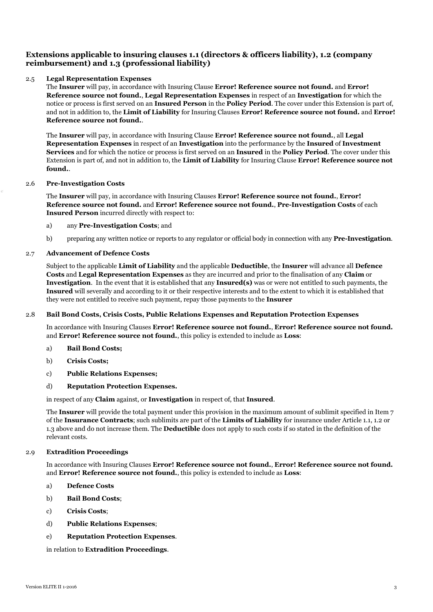# **Extensions applicable to insuring clauses 1.1 (directors & officers liability), 1.2 (company reimbursement) and 1.3 (professional liability)**

## <span id="page-3-0"></span>2.5 **Legal Representation Expenses**

The **Insurer** will pay, in accordance with Insuring Clause **Error! Reference source not found.** and **Error! Reference source not found.**, **Legal Representation Expenses** in respect of an **Investigation** for which the notice or process is first served on an **Insured Person** in the **Policy Period**. The cover under this Extension is part of, and not in addition to, the **Limit of Liability** for Insuring Clauses **Error! Reference source not found.** and **Error! Reference source not found.**.

The **Insurer** will pay, in accordance with Insuring Clause **Error! Reference source not found.**, all **Legal Representation Expenses** in respect of an **Investigation** into the performance by the **Insured** of **Investment Services** and for which the notice or process is first served on an **Insured** in the **Policy Period**. The cover under this Extension is part of, and not in addition to, the **Limit of Liability** for Insuring Clause **Error! Reference source not found.**.

## 2.6 **Pre-Investigation Costs**

The **Insurer** will pay, in accordance with Insuring Clauses **Error! Reference source not found.**, **Error! Reference source not found.** and **Error! Reference source not found.**, **Pre-Investigation Costs** of each **Insured Person** incurred directly with respect to:

#### a) any **Pre-Investigation Costs**; and

b) preparing any written notice or reports to any regulator or official body in connection with any **Pre-Investigation**.

## 2.7 **Advancement of Defence Costs**

Subject to the applicable **Limit of Liability** and the applicable **Deductible**, the **Insurer** will advance all **Defence Costs** and **Legal Representation Expenses** as they are incurred and prior to the finalisation of any **Claim** or **Investigation**. In the event that it is established that any **Insured(s)** was or were not entitled to such payments, the **Insured** will severally and according to it or their respective interests and to the extent to which it is established that they were not entitled to receive such payment, repay those payments to the **Insurer**

## 2.8 **Bail Bond Costs, Crisis Costs, Public Relations Expenses and Reputation Protection Expenses**

In accordance with Insuring Clauses **Error! Reference source not found.**, **Error! Reference source not found.** and **Error! Reference source not found.**, this policy is extended to include as **Loss**:

- a) **Bail Bond Costs;**
- b) **Crisis Costs;**
- c) **Public Relations Expenses;**
- d) **Reputation Protection Expenses.**

in respect of any **Claim** against, or **Investigation** in respect of, that **Insured**.

The **Insurer** will provide the total payment under this provision in the maximum amount of sublimit specified in Item 7 of the **Insurance Contracts**; such sublimits are part of the **Limits of Liability** for insurance under Article 1.1, 1.2 or 1.3 above and do not increase them. The **Deductible** does not apply to such costs if so stated in the definition of the relevant costs.

#### 2.9 **Extradition Proceedings**

In accordance with Insuring Clauses **Error! Reference source not found.**, **Error! Reference source not found.** and **Error! Reference source not found.**, this policy is extended to include as **Loss**:

- a) **Defence Costs**
- b) **Bail Bond Costs**;
- c) **Crisis Costs**;
- d) **Public Relations Expenses**;
- e) **Reputation Protection Expenses**.

in relation to **Extradition Proceedings**.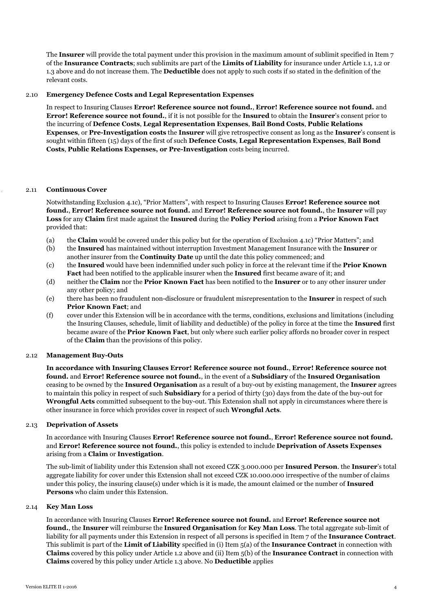The **Insurer** will provide the total payment under this provision in the maximum amount of sublimit specified in Item 7 of the **Insurance Contracts**; such sublimits are part of the **Limits of Liability** for insurance under Article 1.1, 1.2 or 1.3 above and do not increase them. The **Deductible** does not apply to such costs if so stated in the definition of the relevant costs.

## 2.10 **Emergency Defence Costs and Legal Representation Expenses**

In respect to Insuring Clauses **Error! Reference source not found.**, **Error! Reference source not found.** and **Error! Reference source not found.**, if it is not possible for the **Insured** to obtain the **Insurer**'s consent prior to the incurring of **Defence Costs**, **Legal Representation Expenses**, **Bail Bond Costs**, **Public Relations Expenses**, or **Pre-Investigation costs** the **Insurer** will give retrospective consent as long as the **Insurer**'s consent is sought within fifteen (15) days of the first of such **Defence Costs**, **Legal Representation Expenses**, **Bail Bond Costs**, **Public Relations Expenses, or Pre-Investigation** costs being incurred.

## 2.11 **Continuous Cover**

Notwithstanding Exclusion [4.1c\)](#page-17-0), "Prior Matters", with respect to Insuring Clauses **Error! Reference source not found.**, **Error! Reference source not found.** and **Error! Reference source not found.**, the **Insurer** will pay **Loss** for any **Claim** first made against the **Insured** during the **Policy Period** arising from a **Prior Known Fact** provided that:

- (a) the **Claim** would be covered under this policy but for the operation of Exclusion [4.1c\)](#page-17-0) "Prior Matters"; and
- (b) the **Insured** has maintained without interruption Investment Management Insurance with the **Insurer** or another insurer from the **Continuity Date** up until the date this policy commenced; and
- (c) the **Insured** would have been indemnified under such policy in force at the relevant time if the **Prior Known Fact** had been notified to the applicable insurer when the **Insured** first became aware of it; and
- (d) neither the **Claim** nor the **Prior Known Fact** has been notified to the **Insurer** or to any other insurer under any other policy; and
- (e) there has been no fraudulent non-disclosure or fraudulent misrepresentation to the **Insurer** in respect of such **Prior Known Fact**; and
- (f) cover under this Extension will be in accordance with the terms, conditions, exclusions and limitations (including the Insuring Clauses, schedule, limit of liability and deductible) of the policy in force at the time the **Insured** first became aware of the **Prior Known Fact**, but only where such earlier policy affords no broader cover in respect of the **Claim** than the provisions of this policy.

#### 2.12 **Management Buy-Outs**

**In accordance with Insuring Clauses Error! Reference source not found.**, **Error! Reference source not found.** and **Error! Reference source not found.**, in the event of a **Subsidiary** of the **Insured Organisation** ceasing to be owned by the **Insured Organisation** as a result of a buy-out by existing management, the **Insurer** agrees to maintain this policy in respect of such **Subsidiary** for a period of thirty (30) days from the date of the buy-out for **Wrongful Acts** committed subsequent to the buy-out. This Extension shall not apply in circumstances where there is other insurance in force which provides cover in respect of such **Wrongful Acts**.

#### 2.13 **Deprivation of Assets**

In accordance with Insuring Clauses **Error! Reference source not found.**, **Error! Reference source not found.** and **Error! Reference source not found.**, this policy is extended to include **Deprivation of Assets Expenses** arising from a **Claim** or **Investigation**.

The sub-limit of liability under this Extension shall not exceed CZK 3.000.000 per **Insured Person**. the **Insurer**'s total aggregate liability for cover under this Extension shall not exceed CZK 10.000.000 irrespective of the number of claims under this policy, the insuring clause(s) under which is it is made, the amount claimed or the number of **Insured Persons** who claim under this Extension.

#### 2.14 **Key Man Loss**

In accordance with Insuring Clauses **Error! Reference source not found.** and **Error! Reference source not found.**, the **Insurer** will reimburse the **Insured Organisation** for **Key Man Loss**. The total aggregate sub-limit of liability for all payments under this Extension in respect of all persons is specified in Item 7 of the **Insurance Contract**. This sublimit is part of the **Limit of Liability** specified in (i) Item 5(a) of the **Insurance Contract** in connection with **Claims** covered by this policy under Article 1.2 above and (ii) Item 5(b) of the **Insurance Contract** in connection with **Claims** covered by this policy under Article 1.3 above. No **Deductible** applies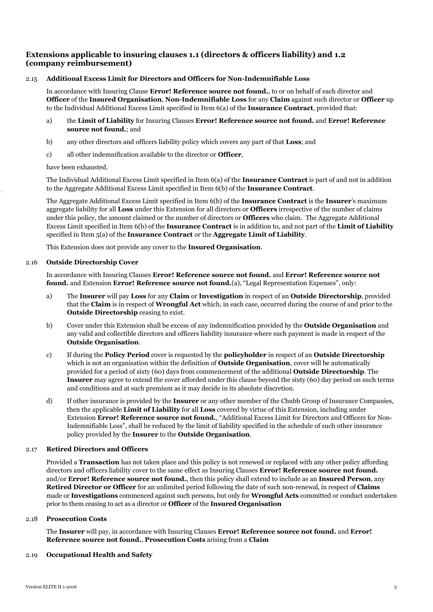# **Extensions applicable to insuring clauses 1.1 (directors & officers liability) and 1.2 (company reimbursement)**

## 2.15 **Additional Excess Limit for Directors and Officers for Non-Indemnifiable Loss**

In accordance with Insuring Clause **Error! Reference source not found.**, to or on behalf of each director and **Officer** of the **Insured Organisation**, **Non-Indemnifiable Loss** for any **Claim** against such director or **Officer** up to the Individual Additional Excess Limit specified in Item 6(a) of the **Insurance Contract**, provided that:

- a) the **Limit of Liability** for Insuring Clauses **Error! Reference source not found.** and **Error! Reference source not found.**; and
- b) any other directors and officers liability policy which covers any part of that **Loss**; and
- c) all other indemnification available to the director or **Officer**,

have been exhausted.

The Individual Additional Excess Limit specified in Item 6(a) of the **Insurance Contract** is part of and not in addition to the Aggregate Additional Excess Limit specified in Item 6(b) of the **Insurance Contract**.

The Aggregate Additional Excess Limit specified in Item 6(b) of the **Insurance Contract** is the **Insurer**'s maximum aggregate liability for all **Loss** under this Extension for all directors or **Officers** irrespective of the number of claims under this policy, the amount claimed or the number of directors or **Officers** who claim. The Aggregate Additional Excess Limit specified in Item 6(b) of the **Insurance Contract** is in addition to, and not part of the **Limit of Liability** specified in Item 5(a) of the **Insurance Contract** or the **Aggregate Limit of Liability**.

This Extension does not provide any cover to the **Insured Organisation**.

## 2.16 **Outside Directorship Cover**

In accordance with Insuring Clauses **Error! Reference source not found.** and **Error! Reference source not found.** and Extension **Error! Reference source not found.**(a), "Legal Representation Expenses", only:

- a) The **Insurer** will pay **Loss** for any **Claim** or **Investigation** in respect of an **Outside Directorship**, provided that the **Claim** is in respect of **Wrongful Act** which, in each case, occurred during the course of and prior to the **Outside Directorship** ceasing to exist.
- b) Cover under this Extension shall be excess of any indemnification provided by the **Outside Organisation** and any valid and collectible directors and officers liability insurance where such payment is made in respect of the **Outside Organisation**.
- c) If during the **Policy Period** cover is requested by the **policyholder** in respect of an **Outside Directorship** which is not an organisation within the definition of **Outside Organisation**, cover will be automatically provided for a period of sixty (60) days from commencement of the additional **Outside Directorship**. The **Insurer** may agree to extend the cover afforded under this clause beyond the sixty (60) day period on such terms and conditions and at such premium as it may decide in its absolute discretion.
- d) If other insurance is provided by the **Insurer** or any other member of the Chubb Group of Insurance Companies, then the applicable **Limit of Liability** for all **Loss** covered by virtue of this Extension, including under Extension **Error! Reference source not found.**, "Additional Excess Limit for Directors and Officers for Non-Indemnifiable Loss", shall be reduced by the limit of liability specified in the schedule of such other insurance policy provided by the **Insurer** to the **Outside Organisation**.

## 2.17 **Retired Directors and Officers**

Provided a **Transaction** has not taken place and this policy is not renewed or replaced with any other policy affording directors and officers liability cover to the same effect as Insuring Clauses **Error! Reference source not found.** and/or **Error! Reference source not found.**, then this policy shall extend to include as an **Insured Person**, any **Retired Director or Officer** for an unlimited period following the date of such non-renewal, in respect of **Claims** made or **Investigations** commenced against such persons, but only for **Wrongful Acts** committed or conduct undertaken prior to them ceasing to act as a director or **Officer** of the **Insured Organisation**

#### 2.18 **Prosecution Costs**

The **Insurer** will pay, in accordance with Insuring Clauses **Error! Reference source not found.** and **Error! Reference source not found.**, **Prosecution Costs** arising from a **Claim**

#### 2.19 **Occupational Health and Safety**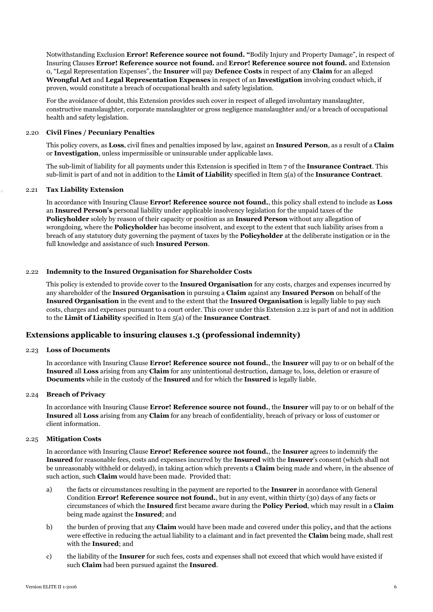Notwithstanding Exclusion **Error! Reference source not found. "**Bodily Injury and Property Damage", in respect of Insuring Clauses **Error! Reference source not found.** and **Error! Reference source not found.** and Extension [0](#page-3-0), "Legal Representation Expenses", the **Insurer** will pay **Defence Costs** in respect of any **Claim** for an alleged **Wrongful Act** and **Legal Representation Expenses** in respect of an **Investigation** involving conduct which, if proven, would constitute a breach of occupational health and safety legislation.

For the avoidance of doubt, this Extension provides such cover in respect of alleged involuntary manslaughter, constructive manslaughter, corporate manslaughter or gross negligence manslaughter and/or a breach of occupational health and safety legislation.

## 2.20 **Civil Fines / Pecuniary Penalties**

This policy covers, as **Loss**, civil fines and penalties imposed by law, against an **Insured Person**, as a result of a **Claim** or **Investigation**, unless impermissible or uninsurable under applicable laws.

The sub-limit of liability for all payments under this Extension is specified in Item 7 of the **Insurance Contract**. This sub-limit is part of and not in addition to the **Limit of Liabilit**y specified in Item 5(a) of the **Insurance Contract**.

#### 2.21 **Tax Liability Extension**

In accordance with Insuring Clause **Error! Reference source not found.**, this policy shall extend to include as **Loss** an **Insured Person's** personal liability under applicable insolvency legislation for the unpaid taxes of the **Policyholder** solely by reason of their capacity or position as an **Insured Person** without any allegation of wrongdoing, where the **Policyholder** has become insolvent, and except to the extent that such liability arises from a breach of any statutory duty governing the payment of taxes by the **Policyholder** at the deliberate instigation or in the full knowledge and assistance of such **Insured Person**.

## 2.22 **Indemnity to the Insured Organisation for Shareholder Costs**

This policy is extended to provide cover to the **Insured Organisation** for any costs, charges and expenses incurred by any shareholder of the **Insured Organisation** in pursuing a **Claim** against any **Insured Person** on behalf of the **Insured Organisation** in the event and to the extent that the **Insured Organisation** is legally liable to pay such costs, charges and expenses pursuant to a court order. This cover under this Extension 2.22 is part of and not in addition to the **Limit of Liability** specified in Item 5(a) of the **Insurance Contract**.

## **Extensions applicable to insuring clauses 1.3 (professional indemnity)**

#### 2.23 **Loss of Documents**

In accordance with Insuring Clause **Error! Reference source not found.**, the **Insurer** will pay to or on behalf of the **Insured** all **Loss** arising from any **Claim** for any unintentional destruction, damage to, loss, deletion or erasure of **Documents** while in the custody of the **Insured** and for which the **Insured** is legally liable.

#### 2.24 **Breach of Privacy**

In accordance with Insuring Clause **Error! Reference source not found.**, the **Insurer** will pay to or on behalf of the **Insured** all **Loss** arising from any **Claim** for any breach of confidentiality, breach of privacy or loss of customer or client information.

#### 2.25 **Mitigation Costs**

In accordance with Insuring Clause **Error! Reference source not found.**, the **Insurer** agrees to indemnify the **Insured** for reasonable fees, costs and expenses incurred by the **Insured** with the **Insurer**'s consent (which shall not be unreasonably withheld or delayed), in taking action which prevents a **Claim** being made and where, in the absence of such action, such **Claim** would have been made. Provided that:

- a) the facts or circumstances resulting in the payment are reported to the **Insurer** in accordance with General Condition **Error! Reference source not found.**, but in any event, within thirty (30) days of any facts or circumstances of which the **Insured** first became aware during the **Policy Period**, which may result in a **Claim** being made against the **Insured**; and
- b) the burden of proving that any **Claim** would have been made and covered under this policy**,** and that the actions were effective in reducing the actual liability to a claimant and in fact prevented the **Claim** being made, shall rest with the **Insured**; and
- c) the liability of the **Insurer** for such fees, costs and expenses shall not exceed that which would have existed if such **Claim** had been pursued against the **Insured**.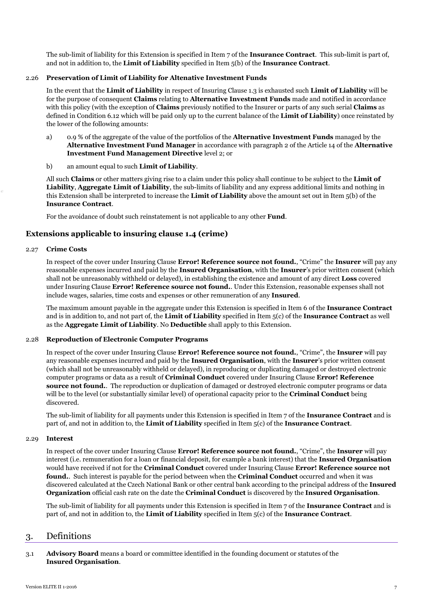The sub-limit of liability for this Extension is specified in Item 7 of the **Insurance Contract**. This sub-limit is part of, and not in addition to, the **Limit of Liability** specified in Item 5(b) of the **Insurance Contract**.

## 2.26 **Preservation of Limit of Liability for Altenative Investment Funds**

In the event that the **Limit of Liability** in respect of Insuring Clause 1.3 is exhausted such **Limit of Liability** will be for the purpose of consequent **Claims** relating to **Alternative Investment Funds** made and notified in accordance with this policy (with the exception of **Claims** previously notified to the Insurer or parts of any such serial **Claims** as defined in Condition 6.12 which will be paid only up to the current balance of the **Limit of Liability**) once reinstated by the lower of the following amounts:

- a) 0.9 % of the aggregate of the value of the portfolios of the **Alternative Investment Funds** managed by the **Alternative Investment Fund Manager** in accordance with paragraph 2 of the Article 14 of the **Alternative Investment Fund Management Directive** level 2; or
- b) an amount equal to such **Limit of Liability**.

All such **Claims** or other matters giving rise to a claim under this policy shall continue to be subject to the **Limit of Liability**, **Aggregate Limit of Liability**, the sub-limits of liability and any express additional limits and nothing in this Extension shall be interpreted to increase the **Limit of Liability** above the amount set out in Item 5(b) of the **Insurance Contract**.

For the avoidance of doubt such reinstatement is not applicable to any other **Fund**.

# **Extensions applicable to insuring clause 1.4 (crime)**

## 2.27 **Crime Costs**

In respect of the cover under Insuring Clause **Error! Reference source not found.**, "Crime" the **Insurer** will pay any reasonable expenses incurred and paid by the **Insured Organisation**, with the **Insurer**'s prior written consent (which shall not be unreasonably withheld or delayed), in establishing the existence and amount of any direct **Loss** covered under Insuring Clause **Error! Reference source not found.**. Under this Extension, reasonable expenses shall not include wages, salaries, time costs and expenses or other remuneration of any **Insured**.

The maximum amount payable in the aggregate under this Extension is specified in Item 6 of the **Insurance Contract** and is in addition to, and not part of, the **Limit of Liability** specified in Item 5(c) of the **Insurance Contract** as well as the **Aggregate Limit of Liability**. No **Deductible** shall apply to this Extension.

## 2.28 **Reproduction of Electronic Computer Programs**

In respect of the cover under Insuring Clause **Error! Reference source not found.**, "Crime", the **Insurer** will pay any reasonable expenses incurred and paid by the **Insured Organisation**, with the **Insurer**'s prior written consent (which shall not be unreasonably withheld or delayed), in reproducing or duplicating damaged or destroyed electronic computer programs or data as a result of **Criminal Conduct** covered under Insuring Clause **Error! Reference source not found.**. The reproduction or duplication of damaged or destroyed electronic computer programs or data will be to the level (or substantially similar level) of operational capacity prior to the **Criminal Conduct** being discovered.

The sub-limit of liability for all payments under this Extension is specified in Item 7 of the **Insurance Contract** and is part of, and not in addition to, the **Limit of Liability** specified in Item 5(c) of the **Insurance Contract**.

#### 2.29 **Interest**

In respect of the cover under Insuring Clause **Error! Reference source not found.**, "Crime", the **Insurer** will pay interest (i.e. remuneration for a loan or financial deposit, for example a bank interest) that the **Insured Organisation** would have received if not for the **Criminal Conduct** covered under Insuring Clause **Error! Reference source not found.**. Such interest is payable for the period between when the **Criminal Conduct** occurred and when it was discovered calculated at the Czech National Bank or other central bank according to the principal address of the **Insured Organization** official cash rate on the date the **Criminal Conduct** is discovered by the **Insured Organisation**.

The sub-limit of liability for all payments under this Extension is specified in Item 7 of the **Insurance Contract** and is part of, and not in addition to, the **Limit of Liability** specified in Item 5(c) of the **Insurance Contract**.

# 3. Definitions

3.1 **Advisory Board** means a board or committee identified in the founding document or statutes of the **Insured Organisation**.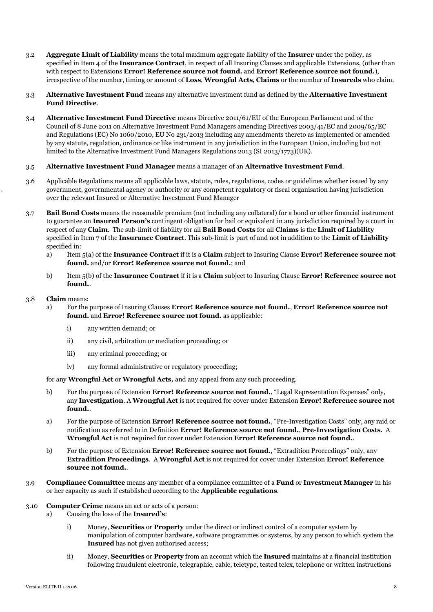- 3.2 **Aggregate Limit of Liability** means the total maximum aggregate liability of the **Insurer** under the policy, as specified in Item 4 of the **Insurance Contract**, in respect of all Insuring Clauses and applicable Extensions, (other than with respect to Extensions **Error! Reference source not found.** and **Error! Reference source not found.**), irrespective of the number, timing or amount of **Loss**, **Wrongful Acts**, **Claims** or the number of **Insureds** who claim.
- 3.3 **Alternative Investment Fund** means any alternative investment fund as defined by the **Alternative Investment Fund Directive**.
- 3.4 **Alternative Investment Fund Directive** means Directive 2011/61/EU of the European Parliament and of the Council of 8 June 2011 on Alternative Investment Fund Managers amending Directives 2003/41/EC and 2009/65/EC and Regulations (EC) No 1060/2010, EU No 231/2013 including any amendments thereto as implemented or amended by any statute, regulation, ordinance or like instrument in any jurisdiction in the European Union, including but not limited to the Alternative Investment Fund Managers Regulations 2013 (SI 2013/1773)(UK).

# 3.5 **Alternative Investment Fund Manager** means a manager of an **Alternative Investment Fund**.

- 3.6 Applicable Regulations means all applicable laws, statute, rules, regulations, codes or guidelines whether issued by any government, governmental agency or authority or any competent regulatory or fiscal organisation having jurisdiction over the relevant Insured or Alternative Investment Fund Manager
- 3.7 **Bail Bond Costs** means the reasonable premium (not including any collateral) for a bond or other financial instrument to guarantee an **Insured Person's** contingent obligation for bail or equivalent in any jurisdiction required by a court in respect of any **Claim**. The sub-limit of liability for all **Bail Bond Costs** for all **Claims** is the **Limit of Liability**  specified in Item 7 of the **Insurance Contract**. This sub-limit is part of and not in addition to the **Limit of Liability**  specified in:
	- a) Item 5(a) of the **Insurance Contract** if it is a **Claim** subject to Insuring Clause **Error! Reference source not found.** and/or **Error! Reference source not found.**; and
	- b) Item 5(b) of the **Insurance Contract** if it is a **Claim** subject to Insuring Clause **Error! Reference source not found.**.

#### 3.8 **Claim** means:

- a) For the purpose of Insuring Clauses **Error! Reference source not found.**, **Error! Reference source not found.** and **Error! Reference source not found.** as applicable:
	- i) any written demand; or
	- ii) any civil, arbitration or mediation proceeding; or
	- iii) any criminal proceeding; or
	- iv) any formal administrative or regulatory proceeding;

for any **Wrongful Act** or **Wrongful Acts,** and any appeal from any such proceeding.

- b) For the purpose of Extension **Error! Reference source not found.**, "Legal Representation Expenses" only, any **Investigation**. A **Wrongful Act** is not required for cover under Extension **Error! Reference source not found.**.
- a) For the purpose of Extension **Error! Reference source not found.**, "Pre-Investigation Costs" only, any raid or notification as referred to in Definition **Error! Reference source not found.**, **Pre-Investigation Costs**.A **Wrongful Act** is not required for cover under Extension **Error! Reference source not found.**.
- b) For the purpose of Extension **Error! Reference source not found.**, "Extradition Proceedings" only, any **Extradition Proceedings**. A **Wrongful Act** is not required for cover under Extension **Error! Reference source not found.**.
- 3.9 **Compliance Committee** means any member of a compliance committee of a **Fund** or **Investment Manager** in his or her capacity as such if established according to the **Applicable regulations**.

#### 3.10 **Computer Crime** means an act or acts of a person:

- a) Causing the loss of the **Insured's**:
	- i) Money, **Securities** or **Property** under the direct or indirect control of a computer system by manipulation of computer hardware, software programmes or systems, by any person to which system the **Insured** has not given authorised access;
	- ii) Money, **Securities** or **Property** from an account which the **Insured** maintains at a financial institution following fraudulent electronic, telegraphic, cable, teletype, tested telex, telephone or written instructions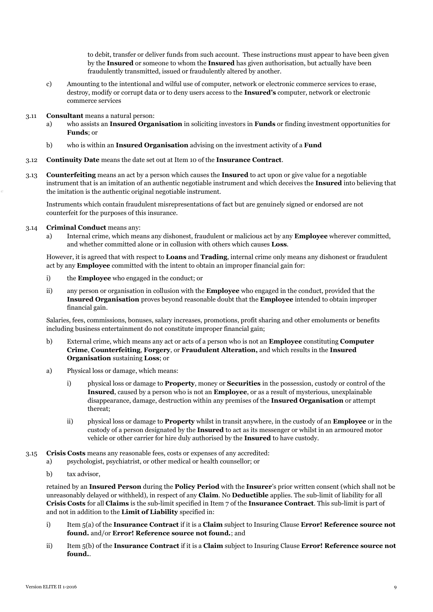to debit, transfer or deliver funds from such account. These instructions must appear to have been given by the **Insured** or someone to whom the **Insured** has given authorisation, but actually have been fraudulently transmitted, issued or fraudulently altered by another.

- c) Amounting to the intentional and wilful use of computer, network or electronic commerce services to erase, destroy, modify or corrupt data or to deny users access to the **Insured's** computer, network or electronic commerce services
- 3.11 **Consultant** means a natural person:
	- a) who assists an **Insured Organisation** in soliciting investors in **Funds** or finding investment opportunities for **Funds**; or
	- b) who is within an **Insured Organisation** advising on the investment activity of a **Fund**
- 3.12 **Continuity Date** means the date set out at Item 10 of the **Insurance Contract**.
- 3.13 **Counterfeiting** means an act by a person which causes the **Insured** to act upon or give value for a negotiable instrument that is an imitation of an authentic negotiable instrument and which deceives the **Insured** into believing that the imitation is the authentic original negotiable instrument.

Instruments which contain fraudulent misrepresentations of fact but are genuinely signed or endorsed are not counterfeit for the purposes of this insurance.

- 3.14 **Criminal Conduct** means any:
	- a) Internal crime, which means any dishonest, fraudulent or malicious act by any **Employee** wherever committed, and whether committed alone or in collusion with others which causes **Loss**.

However, it is agreed that with respect to **Loans** and **Trading**, internal crime only means any dishonest or fraudulent act by any **Employee** committed with the intent to obtain an improper financial gain for:

- i) the **Employee** who engaged in the conduct; or
- ii) any person or organisation in collusion with the **Employee** who engaged in the conduct, provided that the **Insured Organisation** proves beyond reasonable doubt that the **Employee** intended to obtain improper financial gain.

Salaries, fees, commissions, bonuses, salary increases, promotions, profit sharing and other emoluments or benefits including business entertainment do not constitute improper financial gain;

- b) External crime, which means any act or acts of a person who is not an **Employee** constituting **Computer Crime**, **Counterfeiting**, **Forgery**, or **Fraudulent Alteration,** and which results in the **Insured Organisation** sustaining **Loss**; or
- a) Physical loss or damage, which means:
	- i) physical loss or damage to **Property**, money or **Securities** in the possession, custody or control of the **Insured**, caused by a person who is not an **Employee**, or as a result of mysterious, unexplainable disappearance, damage, destruction within any premises of the **Insured Organisation** or attempt thereat;
	- ii) physical loss or damage to **Property** whilst in transit anywhere, in the custody of an **Employee** or in the custody of a person designated by the **Insured** to act as its messenger or whilst in an armoured motor vehicle or other carrier for hire duly authorised by the **Insured** to have custody.
- 3.15 **Crisis Costs** means any reasonable fees, costs or expenses of any accredited:
	- a) psychologist, psychiatrist, or other medical or health counsellor; or
	- b) tax advisor,

retained by an **Insured Person** during the **Policy Period** with the **Insurer**'s prior written consent (which shall not be unreasonably delayed or withheld), in respect of any **Claim**. No **Deductible** applies. The sub-limit of liability for all **Crisis Costs** for all **Claims** is the sub-limit specified in Item 7 of the **Insurance Contract**. This sub-limit is part of and not in addition to the **Limit of Liability** specified in:

- i) Item 5(a) of the **Insurance Contract** if it is a **Claim** subject to Insuring Clause **Error! Reference source not found.** and/or **Error! Reference source not found.**; and
- ii) Item 5(b) of the **Insurance Contract** if it is a **Claim** subject to Insuring Clause **Error! Reference source not found.**.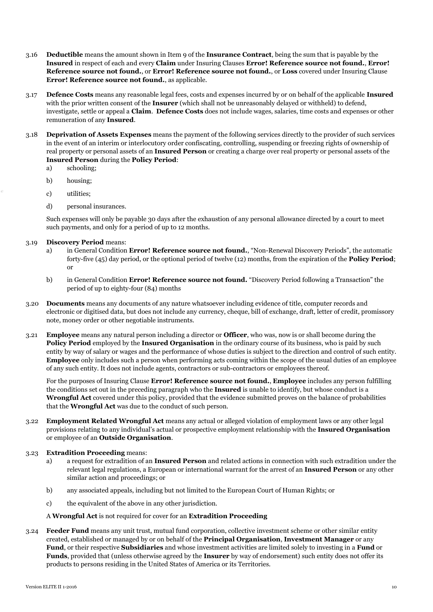- 3.16 **Deductible** means the amount shown in Item 9 of the **Insurance Contract**, being the sum that is payable by the **Insured** in respect of each and every **Claim** under Insuring Clauses **Error! Reference source not found.**, **Error! Reference source not found.**, or **Error! Reference source not found.**, or **Loss** covered under Insuring Clause **Error! Reference source not found.**, as applicable.
- 3.17 **Defence Costs** means any reasonable legal fees, costs and expenses incurred by or on behalf of the applicable **Insured**  with the prior written consent of the **Insurer** (which shall not be unreasonably delayed or withheld) to defend, investigate, settle or appeal a **Claim**. **Defence Costs** does not include wages, salaries, time costs and expenses or other remuneration of any **Insured**.
- 3.18 **Deprivation of Assets Expenses** means the payment of the following services directly to the provider of such services in the event of an interim or interlocutory order confiscating, controlling, suspending or freezing rights of ownership of real property or personal assets of an **Insured Person** or creating a charge over real property or personal assets of the **Insured Person** during the **Policy Period**:
	- a) schooling;
	- b) housing;
	- c) utilities;
	- d) personal insurances.

Such expenses will only be payable 30 days after the exhaustion of any personal allowance directed by a court to meet such payments, and only for a period of up to 12 months.

- 3.19 **Discovery Period** means:
	- a) in General Condition **Error! Reference source not found.**, "Non-Renewal Discovery Periods", the automatic forty-five (45) day period, or the optional period of twelve (12) months, from the expiration of the **Policy Period**; or
	- b) in General Condition **Error! Reference source not found.** "Discovery Period following a Transaction" the period of up to eighty-four (84) months
- 3.20 **Documents** means any documents of any nature whatsoever including evidence of title, computer records and electronic or digitised data, but does not include any currency, cheque, bill of exchange, draft, letter of credit, promissory note, money order or other negotiable instruments.
- 3.21 **Employee** means any natural person including a director or **Officer**, who was, now is or shall become during the **Policy Period** employed by the **Insured Organisation** in the ordinary course of its business, who is paid by such entity by way of salary or wages and the performance of whose duties is subject to the direction and control of such entity. **Employee** only includes such a person when performing acts coming within the scope of the usual duties of an employee of any such entity. It does not include agents, contractors or sub-contractors or employees thereof.

For the purposes of Insuring Clause **Error! Reference source not found.**, **Employee** includes any person fulfilling the conditions set out in the preceding paragraph who the **Insured** is unable to identify, but whose conduct is a **Wrongful Act** covered under this policy, provided that the evidence submitted proves on the balance of probabilities that the **Wrongful Act** was due to the conduct of such person.

3.22 **Employment Related Wrongful Act** means any actual or alleged violation of employment laws or any other legal provisions relating to any individual's actual or prospective employment relationship with the **Insured Organisation** or employee of an **Outside Organisation**.

## 3.23 **Extradition Proceeding** means:

- a) a request for extradition of an **Insured Person** and related actions in connection with such extradition under the relevant legal regulations, a European or international warrant for the arrest of an **Insured Person** or any other similar action and proceedings; or
- b) any associated appeals, including but not limited to the European Court of Human Rights; or
- c) the equivalent of the above in any other jurisdiction.

## A **Wrongful Act** is not required for cover for an **Extradition Proceeding**

3.24 **Feeder Fund** means any unit trust, mutual fund corporation, collective investment scheme or other similar entity created, established or managed by or on behalf of the **Principal Organisation**, **Investment Manager** or any **Fund**, or their respective **Subsidiaries** and whose investment activities are limited solely to investing in a **Fund** or **Funds**, provided that (unless otherwise agreed by the **Insurer** by way of endorsement) such entity does not offer its products to persons residing in the United States of America or its Territories.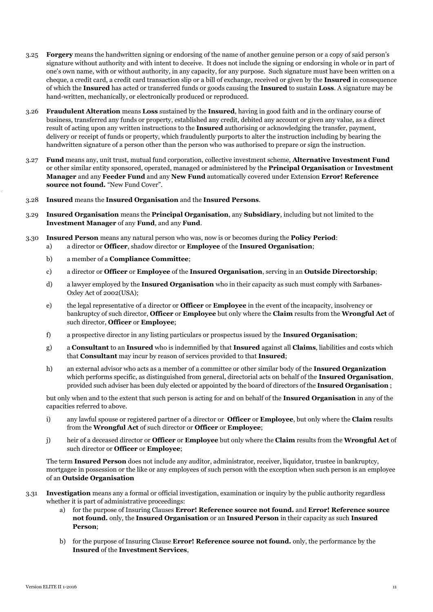- 3.25 **Forgery** means the handwritten signing or endorsing of the name of another genuine person or a copy of said person's signature without authority and with intent to deceive. It does not include the signing or endorsing in whole or in part of one's own name, with or without authority, in any capacity, for any purpose. Such signature must have been written on a cheque, a credit card, a credit card transaction slip or a bill of exchange, received or given by the **Insured** in consequence of which the **Insured** has acted or transferred funds or goods causing the **Insured** to sustain **Loss**. A signature may be hand-written, mechanically, or electronically produced or reproduced.
- 3.26 **Fraudulent Alteration** means **Loss** sustained by the **Insured**, having in good faith and in the ordinary course of business, transferred any funds or property, established any credit, debited any account or given any value, as a direct result of acting upon any written instructions to the **Insured** authorising or acknowledging the transfer, payment, delivery or receipt of funds or property, which fraudulently purports to alter the instruction including by bearing the handwritten signature of a person other than the person who was authorised to prepare or sign the instruction.
- 3.27 **Fund** means any, unit trust, mutual fund corporation, collective investment scheme, **Alternative Investment Fund**  or other similar entity sponsored, operated, managed or administered by the **Principal Organisation** or **Investment Manager** and any **Feeder Fund** and any **New Fund** automatically covered under Extension **Error! Reference source not found.** "New Fund Cover".
- 3.28 **Insured** means the **Insured Organisation** and the **Insured Persons**.
- 3.29 **Insured Organisation** means the **Principal Organisation**, any **Subsidiary**, including but not limited to the **Investment Manager** of any **Fund**, and any **Fund**.
- 3.30 **Insured Person** means any natural person who was, now is or becomes during the **Policy Period**:
	- a) a director or **Officer**, shadow director or **Employee** of the **Insured Organisation**;
		- b) a member of a **Compliance Committee**;
		- c) a director or **Officer** or **Employee** of the **Insured Organisation**, serving in an **Outside Directorship**;
		- d) a lawyer employed by the **Insured Organisation** who in their capacity as such must comply with Sarbanes-Oxley Act of 2002(USA);
		- e) the legal representative of a director or **Officer** or **Employee** in the event of the incapacity, insolvency or bankruptcy of such director, **Officer** or **Employee** but only where the **Claim** results from the **Wrongful Act** of such director, **Officer** or **Employee**;
		- f) a prospective director in any listing particulars or prospectus issued by the **Insured Organisation**;
		- g) a **Consultant** to an **Insured** who is indemnified by that **Insured** against all **Claims**, liabilities and costs which that **Consultant** may incur by reason of services provided to that **Insured**;
		- h) an external advisor who acts as a member of a committee or other similar body of the **Insured Organization**  which performs specific, as distinguished from general, directorial acts on behalf of the **Insured Organisation**, provided such adviser has been duly elected or appointed by the board of directors of the **Insured Organisation** ;

but only when and to the extent that such person is acting for and on behalf of the **Insured Organisation** in any of the capacities referred to above.

- i) any lawful spouse or registered partner of a director or **Officer** or **Employee**, but only where the **Claim** results from the **Wrongful Act** of such director or **Officer** or **Employee**;
- j) heir of a deceased director or **Officer** or **Employee** but only where the **Claim** results from the **Wrongful Act** of such director or **Officer** or **Employee**;

The term **Insured Person** does not include any auditor, administrator, receiver, liquidator, trustee in bankruptcy, mortgagee in possession or the like or any employees of such person with the exception when such person is an employee of an **Outside Organisation**

- 3.31 **Investigation** means any a formal or official investigation, examination or inquiry by the public authority regardless whether it is part of administrative proceedings:
	- a) for the purpose of Insuring Clauses **Error! Reference source not found.** and **Error! Reference source not found.** only, the **Insured Organisation** or an **Insured Person** in their capacity as such **Insured Person**;
	- b) for the purpose of Insuring Clause **Error! Reference source not found.** only, the performance by the **Insured** of the **Investment Services**,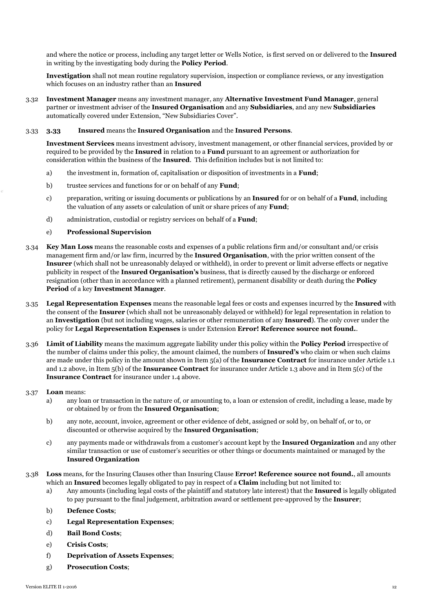and where the notice or process, including any target letter or Wells Notice, is first served on or delivered to the **Insured** in writing by the investigating body during the **Policy Period**.

**Investigation** shall not mean routine regulatory supervision, inspection or compliance reviews, or any investigation which focuses on an industry rather than an **Insured**

3.32 **Investment Manager** means any investment manager, any **Alternative Investment Fund Manager**, general partner or investment adviser of the **Insured Organisation** and any **Subsidiaries**, and any new **Subsidiaries** automatically covered under Extension, "New Subsidiaries Cover".

## 3.33 **3.33 Insured** means the **Insured Organisation** and the **Insured Persons**.

**Investment Services** means investment advisory, investment management, or other financial services, provided by or required to be provided by the **Insured** in relation to a **Fund** pursuant to an agreement or authorization for consideration within the business of the **Insured**. This definition includes but is not limited to:

- a) the investment in, formation of, capitalisation or disposition of investments in a **Fund**;
- b) trustee services and functions for or on behalf of any **Fund**;
- c) preparation, writing or issuing documents or publications by an **Insured** for or on behalf of a **Fund**, including the valuation of any assets or calculation of unit or share prices of any **Fund**;
- d) administration, custodial or registry services on behalf of a **Fund**;

## e) **Professional Supervision**

- 3.34 **Key Man Loss** means the reasonable costs and expenses of a public relations firm and/or consultant and/or crisis management firm and/or law firm, incurred by the **Insured Organisation**, with the prior written consent of the **Insurer** (which shall not be unreasonably delayed or withheld), in order to prevent or limit adverse effects or negative publicity in respect of the **Insured Organisation's** business, that is directly caused by the discharge or enforced resignation (other than in accordance with a planned retirement), permanent disability or death during the **Policy Period** of a key **Investment Manager**.
- 3.35 **Legal Representation Expenses** means the reasonable legal fees or costs and expenses incurred by the **Insured** with the consent of the **Insurer** (which shall not be unreasonably delayed or withheld) for legal representation in relation to an **Investigation** (but not including wages, salaries or other remuneration of any **Insured**). The only cover under the policy for **Legal Representation Expenses** is under Extension **Error! Reference source not found.**.
- 3.36 **Limit of Liability** means the maximum aggregate liability under this policy within the **Policy Period** irrespective of the number of claims under this policy, the amount claimed, the numbers of **Insured's** who claim or when such claims are made under this policy in the amount shown in Item 5(a) of the **Insurance Contract** for insurance under Article 1.1 and 1.2 above, in Item 5(b) of the **Insurance Contract** for insurance under Article 1.3 above and in Item 5(c) of the **Insurance Contract** for insurance under 1.4 above.

## 3.37 **Loan** means:

- a) any loan or transaction in the nature of, or amounting to, a loan or extension of credit, including a lease, made by or obtained by or from the **Insured Organisation**;
- b) any note, account, invoice, agreement or other evidence of debt, assigned or sold by, on behalf of, or to, or discounted or otherwise acquired by the **Insured Organisation**;
- c) any payments made or withdrawals from a customer's account kept by the **Insured Organization** and any other similar transaction or use of customer's securities or other things or documents maintained or managed by the **Insured Organization**
- 3.38 **Loss** means, for the Insuring Clauses other than Insuring Clause **Error! Reference source not found.**, all amounts which an **Insured** becomes legally obligated to pay in respect of a **Claim** including but not limited to:
	- a) Any amounts (including legal costs of the plaintiff and statutory late interest) that the **Insured** is legally obligated to pay pursuant to the final judgement, arbitration award or settlement pre-approved by the **Insurer**;
	- b) **Defence Costs**;
	- c) **Legal Representation Expenses**;
	- d) **Bail Bond Costs**;
	- e) **Crisis Costs**;
	- f) **Deprivation of Assets Expenses**;
	- g) **Prosecution Costs**;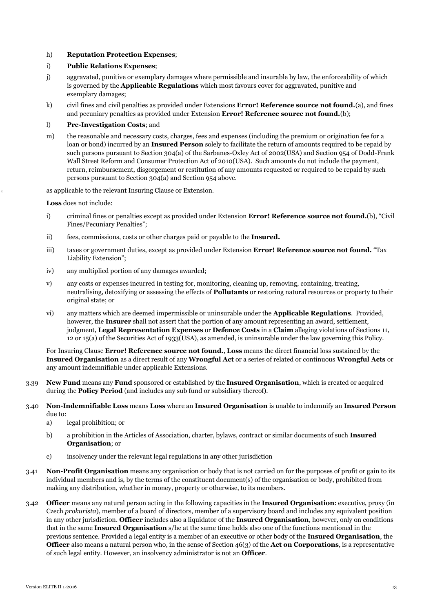## h) **Reputation Protection Expenses**;

## i) **Public Relations Expenses**;

- j) aggravated, punitive or exemplary damages where permissible and insurable by law, the enforceability of which is governed by the **Applicable Regulations** which most favours cover for aggravated, punitive and exemplary damages;
- k) civil fines and civil penalties as provided under Extensions **Error! Reference source not found.**(a), and fines and pecuniary penalties as provided under Extension **Error! Reference source not found.**(b);

#### l) **Pre-Investigation Costs**; and

m) the reasonable and necessary costs, charges, fees and expenses (including the premium or origination fee for a loan or bond) incurred by an **Insured Person** solely to facilitate the return of amounts required to be repaid by such persons pursuant to Section 304(a) of the Sarbanes-Oxley Act of 2002(USA) and Section 954 of Dodd-Frank Wall Street Reform and Consumer Protection Act of 2010(USA). Such amounts do not include the payment, return, reimbursement, disgorgement or restitution of any amounts requested or required to be repaid by such persons pursuant to Section 304(a) and Section 954 above.

as applicable to the relevant Insuring Clause or Extension.

**Loss** does not include:

- i) criminal fines or penalties except as provided under Extension **Error! Reference source not found.**(b), "Civil Fines/Pecuniary Penalties";
- ii) fees, commissions, costs or other charges paid or payable to the **Insured.**
- iii) taxes or government duties, except as provided under Extension **Error! Reference source not found.** "Tax Liability Extension";
- iv) any multiplied portion of any damages awarded;
- v) any costs or expenses incurred in testing for, monitoring, cleaning up, removing, containing, treating, neutralising, detoxifying or assessing the effects of **Pollutants** or restoring natural resources or property to their original state; or
- vi) any matters which are deemed impermissible or uninsurable under the **Applicable Regulations**. Provided, however, the **Insurer** shall not assert that the portion of any amount representing an award, settlement, judgment, **Legal Representation Expenses** or **Defence Costs** in a **Claim** alleging violations of Sections 11, 12 or 15(a) of the Securities Act of 1933(USA), as amended, is uninsurable under the law governing this Policy.

For Insuring Clause **Error! Reference source not found.**, **Loss** means the direct financial loss sustained by the **Insured Organisation** as a direct result of any **Wrongful Act** or a series of related or continuous **Wrongful Acts** or any amount indemnifiable under applicable Extensions.

- 3.39 **New Fund** means any **Fund** sponsored or established by the **Insured Organisation**, which is created or acquired during the **Policy Period** (and includes any sub fund or subsidiary thereof).
- 3.40 **Non-Indemnifiable Loss** means **Loss** where an **Insured Organisation** is unable to indemnify an **Insured Person** due to:
	- a) legal prohibition; or
	- b) a prohibition in the Articles of Association, charter, bylaws, contract or similar documents of such **Insured Organisation**; or
	- c) insolvency under the relevant legal regulations in any other jurisdiction
- 3.41 **Non-Profit Organisation** means any organisation or body that is not carried on for the purposes of profit or gain to its individual members and is, by the terms of the constituent document(s) of the organisation or body, prohibited from making any distribution, whether in money, property or otherwise, to its members.
- 3.42 **Officer** means any natural person acting in the following capacities in the **Insured Organisation**: executive, proxy (in Czech *prokurista*), member of a board of directors, member of a supervisory board and includes any equivalent position in any other jurisdiction. **Officer** includes also a liquidator of the **Insured Organisation**, however, only on conditions that in the same **Insured Organisation** s/he at the same time holds also one of the functions mentioned in the previous sentence. Provided a legal entity is a member of an executive or other body of the **Insured Organisation**, the **Officer** also means a natural person who, in the sense of Section 46(3) of the **Act on Corporations**, is a representative of such legal entity. However, an insolvency administrator is not an **Officer**.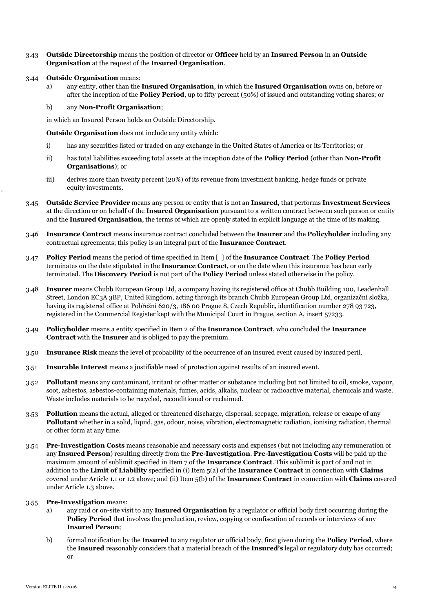- 3.43 **Outside Directorship** means the position of director or **Officer** held by an **Insured Person** in an **Outside Organisation** at the request of the **Insured Organisation**.
- 3.44 **Outside Organisation** means:
	- a) any entity, other than the **Insured Organisation**, in which the **Insured Organisation** owns on, before or after the inception of the **Policy Period**, up to fifty percent (50%) of issued and outstanding voting shares; or

## b) any **Non-Profit Organisation**;

in which an Insured Person holds an Outside Directorship.

**Outside Organisation** does not include any entity which:

- i) has any securities listed or traded on any exchange in the United States of America or its Territories; or
- ii) has total liabilities exceeding total assets at the inception date of the **Policy Period** (other than **Non-Profit Organisations**); or
- iii) derives more than twenty percent (20%) of its revenue from investment banking, hedge funds or private equity investments.
- 3.45 **Outside Service Provider** means any person or entity that is not an **Insured**, that performs **Investment Services** at the direction or on behalf of the **Insured Organisation** pursuant to a written contract between such person or entity and the **Insured Organisation**, the terms of which are openly stated in explicit language at the time of its making.
- 3.46 **Insurance Contract** means insurance contract concluded between the **Insurer** and the **Policyholder** including any contractual agreements; this policy is an integral part of the **Insurance Contract**.
- 3.47 **Policy Period** means the period of time specified in Item [ ] of the **Insurance Contract**. The **Policy Period** terminates on the date stipulated in the **Insurance Contract**, or on the date when this insurance has been early terminated. The **Discovery Period** is not part of the **Policy Period** unless stated otherwise in the policy.
- 3.48 **Insurer** means Chubb European Group Ltd, a company having its registered office at Chubb Building 100, Leadenhall Street, London EC3A 3BP, United Kingdom, acting through its branch Chubb European Group Ltd, organizační složka, having its registered office at Pobřežní 620/3, 186 00 Prague 8, Czech Republic, identification number 278 93 723, registered in the Commercial Register kept with the Municipal Court in Prague, section A, insert 57233.
- 3.49 **Policyholder** means a entity specified in Item 2 of the **Insurance Contract**, who concluded the **Insurance Contract** with the **Insurer** and is obliged to pay the premium.
- 3.50 **Insurance Risk** means the level of probability of the occurrence of an insured event caused by insured peril.
- 3.51 **Insurable Interest** means a justifiable need of protection against results of an insured event.
- 3.52 **Pollutant** means any contaminant, irritant or other matter or substance including but not limited to oil, smoke, vapour, soot, asbestos, asbestos-containing materials, fumes, acids, alkalis, nuclear or radioactive material, chemicals and waste. Waste includes materials to be recycled, reconditioned or reclaimed.
- 3.53 **Pollution** means the actual, alleged or threatened discharge, dispersal, seepage, migration, release or escape of any **Pollutant** whether in a solid, liquid, gas, odour, noise, vibration, electromagnetic radiation, ionising radiation, thermal or other form at any time.
- 3.54 **Pre-Investigation Costs** means reasonable and necessary costs and expenses (but not including any remuneration of any **Insured Person**) resulting directly from the **Pre-Investigation**. **Pre-Investigation Costs** will be paid up the maximum amount of sublimit specified in Item 7 of the **Insurance Contract**. This sublimit is part of and not in addition to the **Limit of Liability** specified in (i) Item 5(a) of the **Insurance Contract** in connection with **Claims** covered under Article 1.1 or 1.2 above; and (ii) Item 5(b) of the **Insurance Contract** in connection with **Claims** covered under Article 1.3 above.

#### 3.55 **Pre-Investigation** means:

- a) any raid or on-site visit to any **Insured Organisation** by a regulator or official body first occurring during the **Policy Period** that involves the production, review, copying or confiscation of records or interviews of any **Insured Person**;
- b) formal notification by the **Insured** to any regulator or official body, first given during the **Policy Period**, where the **Insured** reasonably considers that a material breach of the **Insured's** legal or regulatory duty has occurred; or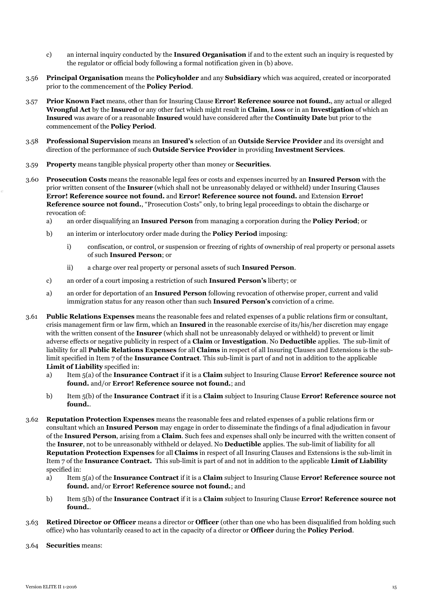- c) an internal inquiry conducted by the **Insured Organisation** if and to the extent such an inquiry is requested by the regulator or official body following a formal notification given in (b) above.
- 3.56 **Principal Organisation** means the **Policyholder** and any **Subsidiary** which was acquired, created or incorporated prior to the commencement of the **Policy Period**.
- 3.57 **Prior Known Fact** means, other than for Insuring Clause **Error! Reference source not found.**, any actual or alleged **Wrongful Act** by the **Insured** or any other fact which might result in **Claim**, **Loss** or in an **Investigation** of which an **Insured** was aware of or a reasonable **Insured** would have considered after the **Continuity Date** but prior to the commencement of the **Policy Period**.
- 3.58 **Professional Supervision** means an **Insured's** selection of an **Outside Service Provider** and its oversight and direction of the performance of such **Outside Service Provider** in providing **Investment Services**.
- 3.59 **Property** means tangible physical property other than money or **Securities**.
- 3.60 **Prosecution Costs** means the reasonable legal fees or costs and expenses incurred by an **Insured Person** with the prior written consent of the **Insurer** (which shall not be unreasonably delayed or withheld) under Insuring Clauses **Error! Reference source not found.** and **Error! Reference source not found.** and Extension **Error! Reference source not found.**, "Prosecution Costs" only, to bring legal proceedings to obtain the discharge or revocation of:
	- a) an order disqualifying an **Insured Person** from managing a corporation during the **Policy Period**; or
	- b) an interim or interlocutory order made during the **Policy Period** imposing:
		- i) confiscation, or control, or suspension or freezing of rights of ownership of real property or personal assets of such **Insured Person**; or
		- ii) a charge over real property or personal assets of such **Insured Person**.
	- c) an order of a court imposing a restriction of such **Insured Person's** liberty; or
	- a) an order for deportation of an **Insured Person** following revocation of otherwise proper, current and valid immigration status for any reason other than such **Insured Person's** conviction of a crime.
- 3.61 **Public Relations Expenses** means the reasonable fees and related expenses of a public relations firm or consultant, crisis management firm or law firm, which an **Insured** in the reasonable exercise of its/his/her discretion may engage with the written consent of the **Insurer** (which shall not be unreasonably delayed or withheld) to prevent or limit adverse effects or negative publicity in respect of a **Claim** or **Investigation**. No **Deductible** applies. The sub-limit of liability for all **Public Relations Expenses** for all **Claims** in respect of all Insuring Clauses and Extensions is the sublimit specified in Item 7 of the **Insurance Contract**. This sub-limit is part of and not in addition to the applicable **Limit of Liability** specified in:
	- a) Item 5(a) of the **Insurance Contract** if it is a **Claim** subject to Insuring Clause **Error! Reference source not found.** and/or **Error! Reference source not found.**; and
	- b) Item 5(b) of the **Insurance Contract** if it is a **Claim** subject to Insuring Clause **Error! Reference source not found.**.
- 3.62 **Reputation Protection Expenses** means the reasonable fees and related expenses of a public relations firm or consultant which an **Insured Person** may engage in order to disseminate the findings of a final adjudication in favour of the **Insured Person**, arising from a **Claim**. Such fees and expenses shall only be incurred with the written consent of the **Insurer**, not to be unreasonably withheld or delayed. No **Deductible** applies. The sub-limit of liability for all **Reputation Protection Expenses** for all **Claims** in respect of all Insuring Clauses and Extensions is the sub-limit in Item 7 of the **Insurance Contract.** This sub-limit is part of and not in addition to the applicable **Limit of Liability** specified in:
	- a) Item 5(a) of the **Insurance Contract** if it is a **Claim** subject to Insuring Clause **Error! Reference source not found.** and/or **Error! Reference source not found.**; and
	- b) Item 5(b) of the **Insurance Contract** if it is a **Claim** subject to Insuring Clause **Error! Reference source not found.**.
- 3.63 **Retired Director or Officer** means a director or **Officer** (other than one who has been disqualified from holding such office) who has voluntarily ceased to act in the capacity of a director or **Officer** during the **Policy Period**.
- 3.64 **Securities** means: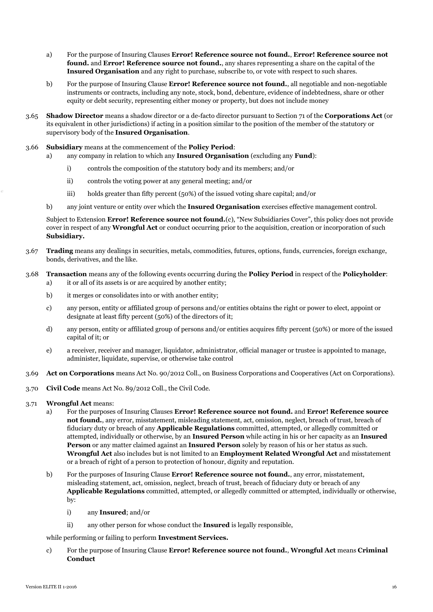- a) For the purpose of Insuring Clauses **Error! Reference source not found.**, **Error! Reference source not found.** and **Error! Reference source not found.**, any shares representing a share on the capital of the **Insured Organisation** and any right to purchase, subscribe to, or vote with respect to such shares.
- b) For the purpose of Insuring Clause **Error! Reference source not found.**, all negotiable and non-negotiable instruments or contracts, including any note, stock, bond, debenture, evidence of indebtedness, share or other equity or debt security, representing either money or property, but does not include money
- 3.65 **Shadow Director** means a shadow director or a de-facto director pursuant to Section 71 of the **Corporations Act** (or its equivalent in other jurisdictions) if acting in a position similar to the position of the member of the statutory or supervisory body of the **Insured Organisation**.
- 3.66 **Subsidiary** means at the commencement of the **Policy Period**:
	- a) any company in relation to which any **Insured Organisation** (excluding any **Fund**):
		- i) controls the composition of the statutory body and its members; and/or
		- ii) controls the voting power at any general meeting; and/or
		- iii) holds greater than fifty percent (50%) of the issued voting share capital; and/or
	- b) any joint venture or entity over which the **Insured Organisation** exercises effective management control.

Subject to Extension **Error! Reference source not found.**(c), "New Subsidiaries Cover", this policy does not provide cover in respect of any **Wrongful Act** or conduct occurring prior to the acquisition, creation or incorporation of such **Subsidiary.**

- 3.67 **Trading** means any dealings in securities, metals, commodities, futures, options, funds, currencies, foreign exchange, bonds, derivatives, and the like.
- 3.68 **Transaction** means any of the following events occurring during the **Policy Period** in respect of the **Policyholder**: a) it or all of its assets is or are acquired by another entity;
	- b) it merges or consolidates into or with another entity;
	- c) any person, entity or affiliated group of persons and/or entities obtains the right or power to elect, appoint or designate at least fifty percent (50%) of the directors of it;
	- d) any person, entity or affiliated group of persons and/or entities acquires fifty percent (50%) or more of the issued capital of it; or
	- e) a receiver, receiver and manager, liquidator, administrator, official manager or trustee is appointed to manage, administer, liquidate, supervise, or otherwise take control
- 3.69 **Act on Corporations** means Act No. 90/2012 Coll., on Business Corporations and Cooperatives (Act on Corporations).
- 3.70 **Civil Code** means Act No. 89/2012 Coll., the Civil Code.
- 3.71 **Wrongful Act** means:
	- a) For the purposes of Insuring Clauses **Error! Reference source not found.** and **Error! Reference source not found.**, any error, misstatement, misleading statement, act, omission, neglect, breach of trust, breach of fiduciary duty or breach of any **Applicable Regulations** committed, attempted, or allegedly committed or attempted, individually or otherwise, by an **Insured Person** while acting in his or her capacity as an **Insured Person** or any matter claimed against an **Insured Person** solely by reason of his or her status as such. **Wrongful Act** also includes but is not limited to an **Employment Related Wrongful Act** and misstatement or a breach of right of a person to protection of honour, dignity and reputation.
	- b) For the purposes of Insuring Clause **Error! Reference source not found.**, any error, misstatement, misleading statement, act, omission, neglect, breach of trust, breach of fiduciary duty or breach of any **Applicable Regulations** committed, attempted, or allegedly committed or attempted, individually or otherwise, by:
		- i) any **Insured**; and/or
		- ii) any other person for whose conduct the **Insured** is legally responsible,

while performing or failing to perform **Investment Services.**

c) For the purpose of Insuring Clause **Error! Reference source not found.**, **Wrongful Act** means **Criminal Conduct**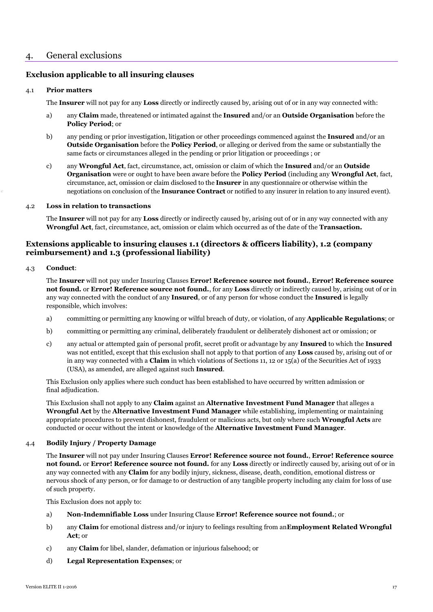# 4. General exclusions

# **Exclusion applicable to all insuring clauses**

## 4.1 **Prior matters**

The **Insurer** will not pay for any **Loss** directly or indirectly caused by, arising out of or in any way connected with:

- a) any **Claim** made, threatened or intimated against the **Insured** and/or an **Outside Organisation** before the **Policy Period**; or
- b) any pending or prior investigation, litigation or other proceedings commenced against the **Insured** and/or an **Outside Organisation** before the **Policy Period**, or alleging or derived from the same or substantially the same facts or circumstances alleged in the pending or prior litigation or proceedings ; or
- <span id="page-17-0"></span>c) any **Wrongful Act**, fact, circumstance, act, omission or claim of which the **Insured** and/or an **Outside Organisation** were or ought to have been aware before the **Policy Period** (including any **Wrongful Act**, fact, circumstance, act, omission or claim disclosed to the **Insurer** in any questionnaire or otherwise within the negotiations on conclusion of the **Insurance Contract** or notified to any insurer in relation to any insured event).

#### 4.2 **Loss in relation to transactions**

The **Insurer** will not pay for any **Loss** directly or indirectly caused by, arising out of or in any way connected with any **Wrongful Act**, fact, circumstance, act, omission or claim which occurred as of the date of the **Transaction.**

# **Extensions applicable to insuring clauses 1.1 (directors & officers liability), 1.2 (company reimbursement) and 1.3 (professional liability)**

## 4.3 **Conduct**:

The **Insurer** will not pay under Insuring Clauses **Error! Reference source not found.**, **Error! Reference source not found.** or **Error! Reference source not found.**, for any **Loss** directly or indirectly caused by, arising out of or in any way connected with the conduct of any **Insured**, or of any person for whose conduct the **Insured** is legally responsible, which involves:

- a) committing or permitting any knowing or wilful breach of duty, or violation, of any **Applicable Regulations**; or
- b) committing or permitting any criminal, deliberately fraudulent or deliberately dishonest act or omission; or
- c) any actual or attempted gain of personal profit, secret profit or advantage by any **Insured** to which the **Insured** was not entitled, except that this exclusion shall not apply to that portion of any **Loss** caused by, arising out of or in any way connected with a **Claim** in which violations of Sections 11, 12 or 15(a) of the Securities Act of 1933 (USA), as amended, are alleged against such **Insured**.

This Exclusion only applies where such conduct has been established to have occurred by written admission or final adjudication.

This Exclusion shall not apply to any **Claim** against an **Alternative Investment Fund Manager** that alleges a **Wrongful Act** by the **Alternative Investment Fund Manager** while establishing, implementing or maintaining appropriate procedures to prevent dishonest, fraudulent or malicious acts, but only where such **Wrongful Acts** are conducted or occur without the intent or knowledge of the **Alternative Investment Fund Manager**.

## 4.4 **Bodily Injury / Property Damage**

The **Insurer** will not pay under Insuring Clauses **Error! Reference source not found.**, **Error! Reference source not found.** or **Error! Reference source not found.** for any **Loss** directly or indirectly caused by, arising out of or in any way connected with any **Claim** for any bodily injury, sickness, disease, death, condition, emotional distress or nervous shock of any person, or for damage to or destruction of any tangible property including any claim for loss of use of such property.

This Exclusion does not apply to:

- a) **Non-Indemnifiable Loss** under Insuring Clause **Error! Reference source not found.**; or
- b) any **Claim** for emotional distress and/or injury to feelings resulting from an**Employment Related Wrongful Act**; or
- c) any **Claim** for libel, slander, defamation or injurious falsehood; or
- d) **Legal Representation Expenses**; or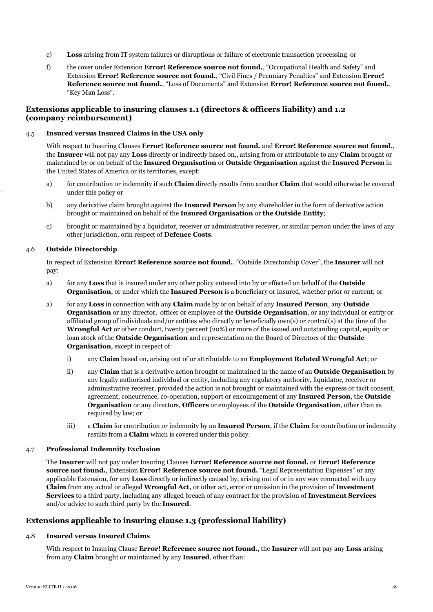- e) **Loss** arising from IT system failures or disruptions or failure of electronic transaction processing or
- f) the cover under Extension **Error! Reference source not found.**, "Occupational Health and Safety" and Extension **Error! Reference source not found.**, "Civil Fines / Pecuniary Penalties" and Extension **Error! Reference source not found.**, "Loss of Documents" and Extension **Error! Reference source not found.**, "Key Man Loss".

## **Extensions applicable to insuring clauses 1.1 (directors & officers liability) and 1.2 (company reimbursement)**

#### 4.5 **Insured versus Insured Claims in the USA only**

With respect to Insuring Clauses **Error! Reference source not found.** and **Error! Reference source not found.**, the **Insurer** will not pay any **Loss** directly or indirectly based on,, arising from or attributable to any **Claim** brought or maintained by or on behalf of the **Insured Organisation** or **Outside Organisation** against the **Insured Person** in the United States of America or its territories, except:

- a) for contribution or indemnity if such **Claim** directly results from another **Claim** that would otherwise be covered under this policy or
- b) any derivative claim brought against the **Insured Person** by any shareholder in the form of derivative action brought or maintained on behalf of the **Insured Organisation** or **the Outside Entity**;
- c) brought or maintained by a liquidator, receiver or administrative receiver, or similar person under the laws of any other jurisdiction; orin respect of **Defence Costs**.

## 4.6 **Outside Directorship**

In respect of Extension **Error! Reference source not found.**, "Outside Directorship Cover", the **Insurer** will not pay:

- a) for any **Loss** that is insured under any other policy entered into by or effected on behalf of the **Outside Organisation**, or under which the **Insured Person** is a beneficiary or insured, whether prior or current; or
- a) for any **Loss** in connection with any **Claim** made by or on behalf of any **Insured Person**, any **Outside Organisation** or any director, officer or employee of the **Outside Organisation**, or any individual or entity or affiliated group of individuals and/or entities who directly or beneficially own(s) or control(s) at the time of the **Wrongful Act** or other conduct, twenty percent (20%) or more of the issued and outstanding capital, equity or loan stock of the **Outside Organisation** and representation on the Board of Directors of the **Outside Organisation**, except in respect of:
	- i) any **Claim** based on, arising out of or attributable to an **Employment Related Wrongful Act**; or
	- ii) any **Claim** that is a derivative action brought or maintained in the name of an **Outside Organisation** by any legally authorised individual or entity, including any regulatory authority, liquidator, receiver or administrative receiver, provided the action is not brought or maintained with the express or tacit consent, agreement, concurrence, co-operation, support or encouragement of any **Insured Person**, the **Outside Organisation** or any directors, **Officers** or employees of the **Outside Organisation**, other than as required by law; or
	- iii) a **Claim** for contribution or indemnity by an **Insured Person**, if the **Claim** for contribution or indemnity results from a **Claim** which is covered under this policy.

## 4.7 **Professional Indemnity Exclusion**

The **Insurer** will not pay under Insuring Clauses **Error! Reference source not found.** or **Error! Reference source not found.**, Extension **Error! Reference source not found.** "Legal Representation Expenses" or any applicable Extension, for any **Loss** directly or indirectly caused by, arising out of or in any way connected with any **Claim** from any actual or alleged **Wrongful Act,** or other act, error or omission in the provision of **Investment Services** to a third party, including any alleged breach of any contract for the provision of **Investment Services** and/or advice to such third party by the **Insured**.

## **Extensions applicable to insuring clause 1.3 (professional liability)**

## 4.8 **Insured versus Insured Claims**

With respect to Insuring Clause **Error! Reference source not found.**, the **Insurer** will not pay any **Loss** arising from any **Claim** brought or maintained by any **Insured**, other than: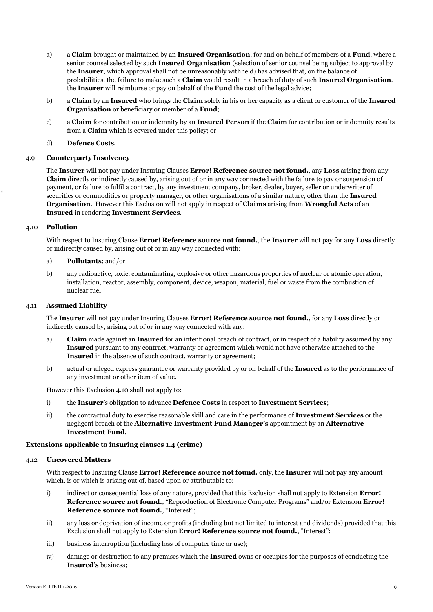- a) a **Claim** brought or maintained by an **Insured Organisation**, for and on behalf of members of a **Fund**, where a senior counsel selected by such **Insured Organisation** (selection of senior counsel being subject to approval by the **Insurer**, which approval shall not be unreasonably withheld) has advised that, on the balance of probabilities, the failure to make such a **Claim** would result in a breach of duty of such **Insured Organisation**. the **Insurer** will reimburse or pay on behalf of the **Fund** the cost of the legal advice;
- b) a **Claim** by an **Insured** who brings the **Claim** solely in his or her capacity as a client or customer of the **Insured Organisation** or beneficiary or member of a **Fund**;
- c) a **Claim** for contribution or indemnity by an **Insured Person** if the **Claim** for contribution or indemnity results from a **Claim** which is covered under this policy; or
- d) **Defence Costs**.

## 4.9 **Counterparty Insolvency**

The **Insurer** will not pay under Insuring Clauses **Error! Reference source not found.**, any **Loss** arising from any **Claim** directly or indirectly caused by, arising out of or in any way connected with the failure to pay or suspension of payment, or failure to fulfil a contract, by any investment company, broker, dealer, buyer, seller or underwriter of securities or commodities or property manager, or other organisations of a similar nature, other than the **Insured Organisation**. However this Exclusion will not apply in respect of **Claims** arising from **Wrongful Acts** of an **Insured** in rendering **Investment Services**.

## 4.10 **Pollution**

With respect to Insuring Clause **Error! Reference source not found.**, the **Insurer** will not pay for any **Loss** directly or indirectly caused by, arising out of or in any way connected with:

## a) **Pollutants**; and/or

b) any radioactive, toxic, contaminating, explosive or other hazardous properties of nuclear or atomic operation, installation, reactor, assembly, component, device, weapon, material, fuel or waste from the combustion of nuclear fuel

#### 4.11 **Assumed Liability**

The **Insurer** will not pay under Insuring Clauses **Error! Reference source not found.**, for any **Loss** directly or indirectly caused by, arising out of or in any way connected with any:

- a) **Claim** made against an **Insured** for an intentional breach of contract, or in respect of a liability assumed by any **Insured** pursuant to any contract, warranty or agreement which would not have otherwise attached to the **Insured** in the absence of such contract, warranty or agreement;
- b) actual or alleged express guarantee or warranty provided by or on behalf of the **Insured** as to the performance of any investment or other item of value.

However this Exclusion 4.10 shall not apply to:

- i) the **Insurer**'s obligation to advance **Defence Costs** in respect to **Investment Services**;
- ii) the contractual duty to exercise reasonable skill and care in the performance of **Investment Services** or the negligent breach of the **Alternative Investment Fund Manager's** appointment by an **Alternative Investment Fund**.

#### **Extensions applicable to insuring clauses 1.4 (crime)**

## 4.12 **Uncovered Matters**

With respect to Insuring Clause **Error! Reference source not found.** only, the **Insurer** will not pay any amount which, is or which is arising out of, based upon or attributable to:

- i) indirect or consequential loss of any nature, provided that this Exclusion shall not apply to Extension **Error! Reference source not found.**, "Reproduction of Electronic Computer Programs" and/or Extension **Error! Reference source not found.**, "Interest";
- ii) any loss or deprivation of income or profits (including but not limited to interest and dividends) provided that this Exclusion shall not apply to Extension **Error! Reference source not found.**, "Interest";
- iii) business interruption (including loss of computer time or use);
- iv) damage or destruction to any premises which the **Insured** owns or occupies for the purposes of conducting the **Insured's** business;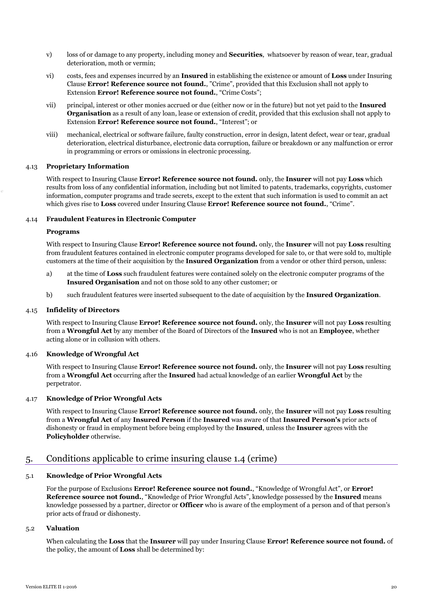- v) loss of or damage to any property, including money and **Securities**, whatsoever by reason of wear, tear, gradual deterioration, moth or vermin;
- vi) costs, fees and expenses incurred by an **Insured** in establishing the existence or amount of **Loss** under Insuring Clause **Error! Reference source not found.**, "Crime", provided that this Exclusion shall not apply to Extension **Error! Reference source not found.**, "Crime Costs";
- vii) principal, interest or other monies accrued or due (either now or in the future) but not yet paid to the **Insured Organisation** as a result of any loan, lease or extension of credit, provided that this exclusion shall not apply to Extension **Error! Reference source not found.**, "Interest"; or
- viii) mechanical, electrical or software failure, faulty construction, error in design, latent defect, wear or tear, gradual deterioration, electrical disturbance, electronic data corruption, failure or breakdown or any malfunction or error in programming or errors or omissions in electronic processing.

## 4.13 **Proprietary Information**

With respect to Insuring Clause **Error! Reference source not found.** only, the **Insurer** will not pay **Loss** which results from loss of any confidential information, including but not limited to patents, trademarks, copyrights, customer information, computer programs and trade secrets, except to the extent that such information is used to commit an act which gives rise to **Loss** covered under Insuring Clause **Error! Reference source not found.**, "Crime".

## 4.14 **Fraudulent Features in Electronic Computer**

## **Programs**

With respect to Insuring Clause **Error! Reference source not found.** only, the **Insurer** will not pay **Loss** resulting from fraudulent features contained in electronic computer programs developed for sale to, or that were sold to, multiple customers at the time of their acquisition by the **Insured Organization** from a vendor or other third person, unless:

- a) at the time of **Loss** such fraudulent features were contained solely on the electronic computer programs of the **Insured Organisation** and not on those sold to any other customer; or
- b) such fraudulent features were inserted subsequent to the date of acquisition by the **Insured Organization**.

## 4.15 **Infidelity of Directors**

With respect to Insuring Clause **Error! Reference source not found.** only, the **Insurer** will not pay **Loss** resulting from a **Wrongful Act** by any member of the Board of Directors of the **Insured** who is not an **Employee**, whether acting alone or in collusion with others.

#### 4.16 **Knowledge of Wrongful Act**

With respect to Insuring Clause **Error! Reference source not found.** only, the **Insurer** will not pay **Loss** resulting from a **Wrongful Act** occurring after the **Insured** had actual knowledge of an earlier **Wrongful Act** by the perpetrator.

## 4.17 **Knowledge of Prior Wrongful Acts**

With respect to Insuring Clause **Error! Reference source not found.** only, the **Insurer** will not pay **Loss** resulting from a **Wrongful Act** of any **Insured Person** if the **Insured** was aware of that **Insured Person's** prior acts of dishonesty or fraud in employment before being employed by the **Insured**, unless the **Insurer** agrees with the **Policyholder** otherwise.

# 5. Conditions applicable to crime insuring clause 1.4 (crime)

## 5.1 **Knowledge of Prior Wrongful Acts**

For the purpose of Exclusions **Error! Reference source not found.**, "Knowledge of Wrongful Act", or **Error! Reference source not found.**, "Knowledge of Prior Wrongful Acts", knowledge possessed by the **Insured** means knowledge possessed by a partner, director or **Officer** who is aware of the employment of a person and of that person's prior acts of fraud or dishonesty.

## 5.2 **Valuation**

When calculating the **Loss** that the **Insurer** will pay under Insuring Clause **Error! Reference source not found.** of the policy, the amount of **Loss** shall be determined by: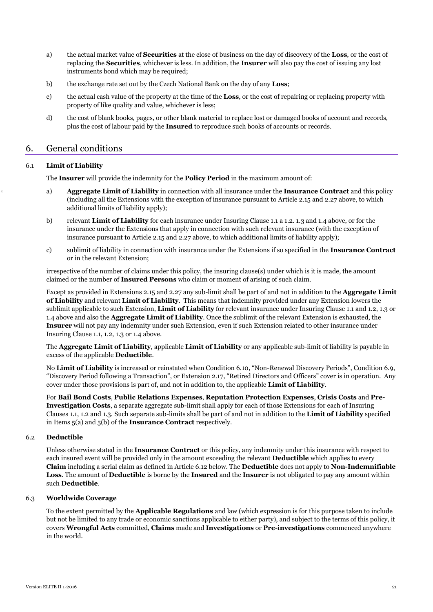- a) the actual market value of **Securities** at the close of business on the day of discovery of the **Loss**, or the cost of replacing the **Securities**, whichever is less. In addition, the **Insurer** will also pay the cost of issuing any lost instruments bond which may be required;
- b) the exchange rate set out by the Czech National Bank on the day of any **Loss**;
- c) the actual cash value of the property at the time of the **Loss**, or the cost of repairing or replacing property with property of like quality and value, whichever is less;
- d) the cost of blank books, pages, or other blank material to replace lost or damaged books of account and records, plus the cost of labour paid by the **Insured** to reproduce such books of accounts or records.

# 6. General conditions

## 6.1 **Limit of Liability**

The **Insurer** will provide the indemnity for the **Policy Period** in the maximum amount of:

- a) **Aggregate Limit of Liability** in connection with all insurance under the **Insurance Contract** and this policy (including all the Extensions with the exception of insurance pursuant to Article 2.15 and 2.27 above, to which additional limits of liability apply);
- b) relevant **Limit of Liability** for each insurance under Insuring Clause 1.1 a 1.2. 1.3 and 1.4 above, or for the insurance under the Extensions that apply in connection with such relevant insurance (with the exception of insurance pursuant to Article 2.15 and 2.27 above, to which additional limits of liability apply);
- c) sublimit of liability in connection with insurance under the Extensions if so specified in the **Insurance Contract** or in the relevant Extension;

irrespective of the number of claims under this policy, the insuring clause(s) under which is it is made, the amount claimed or the number of **Insured Persons** who claim or moment of arising of such claim.

Except as provided in Extensions 2.15 and 2.27 any sub-limit shall be part of and not in addition to the **Aggregate Limit of Liability** and relevant **Limit of Liability**. This means that indemnity provided under any Extension lowers the sublimit applicable to such Extension, **Limit of Liability** for relevant insurance under Insuring Clause 1.1 and 1.2, 1.3 or 1.4 above and also the **Aggregate Limit of Liability**. Once the sublimit of the relevant Extension is exhausted, the **Insurer** will not pay any indemnity under such Extension, even if such Extension related to other insurance under Insuring Clause 1.1, 1.2, 1.3 or 1.4 above.

The **Aggregate Limit of Liability**, applicable **Limit of Liability** or any applicable sub-limit of liability is payable in excess of the applicable **Deductible**.

No **Limit of Liability** is increased or reinstated when Condition 6.10, "Non-Renewal Discovery Periods", Condition 6.9, "Discovery Period following a Transaction", or Extension 2.17, "Retired Directors and Officers" cover is in operation. Any cover under those provisions is part of, and not in addition to, the applicable **Limit of Liability**.

For **Bail Bond Costs**, **Public Relations Expenses**, **Reputation Protection Expenses**, **Crisis Costs** and **Pre-Investigation Costs**, a separate aggregate sub-limit shall apply for each of those Extensions for each of Insuring Clauses 1.1, 1.2 and 1.3. Such separate sub-limits shall be part of and not in addition to the **Limit of Liability** specified in Items 5(a) and 5(b) of the **Insurance Contract** respectively.

## 6.2 **Deductible**

Unless otherwise stated in the **Insurance Contract** or this policy, any indemnity under this insurance with respect to each insured event will be provided only in the amount exceeding the relevant **Deductible** which applies to every **Claim** including a serial claim as defined in Article 6.12 below. The **Deductible** does not apply to **Non-Indemnifiable Loss**. The amount of **Deductible** is borne by the **Insured** and the **Insurer** is not obligated to pay any amount within such **Deductible**.

## 6.3 **Worldwide Coverage**

To the extent permitted by the **Applicable Regulations** and law (which expression is for this purpose taken to include but not be limited to any trade or economic sanctions applicable to either party), and subject to the terms of this policy, it covers **Wrongful Acts** committed, **Claims** made and **Investigations** or **Pre-investigations** commenced anywhere in the world.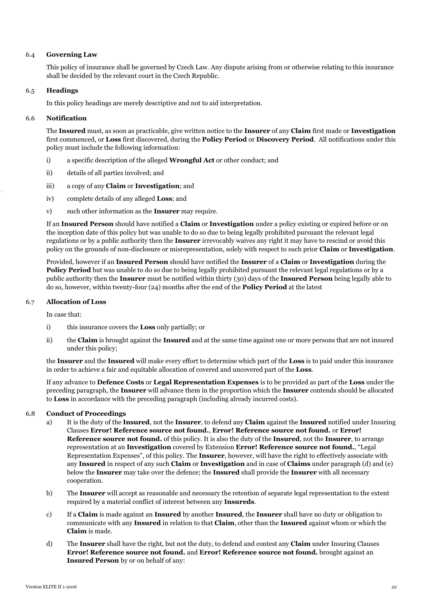## 6.4 **Governing Law**

This policy of insurance shall be governed by Czech Law. Any dispute arising from or otherwise relating to this insurance shall be decided by the relevant court in the Czech Republic.

## 6.5 **Headings**

In this policy headings are merely descriptive and not to aid interpretation.

## 6.6 **Notification**

The **Insured** must, as soon as practicable, give written notice to the **Insurer** of any **Claim** first made or **Investigation** first commenced, or **Loss** first discovered, during the **Policy Period** or **Discovery Period**. All notifications under this policy must include the following information:

- i) a specific description of the alleged **Wrongful Act** or other conduct; and
- ii) details of all parties involved; and
- iii) a copy of any **Claim** or **Investigation**; and
- iv) complete details of any alleged **Loss**; and
- v) such other information as the **Insurer** may require.

If an **Insured Person** should have notified a **Claim** or **Investigation** under a policy existing or expired before or on the inception date of this policy but was unable to do so due to being legally prohibited pursuant the relevant legal regulations or by a public authority then the **Insurer** irrevocably waives any right it may have to rescind or avoid this policy on the grounds of non-disclosure or misrepresentation, solely with respect to such prior **Claim** or **Investigation**.

Provided, however if an **Insured Person** should have notified the **Insurer** of a **Claim** or **Investigation** during the **Policy Period** but was unable to do so due to being legally prohibited pursuant the relevant legal regulations or by a public authority then the **Insurer** must be notified within thirty (30) days of the **Insured Person** being legally able to do so, however, within twenty-four (24) months after the end of the **Policy Period** at the latest

## 6.7 **Allocation of Loss**

In case that:

- i) this insurance covers the **Loss** only partially; or
- ii) the **Claim** is brought against the **Insured** and at the same time against one or more persons that are not insured under this policy;

the **Insurer** and the **Insured** will make every effort to determine which part of the **Loss** is to paid under this insurance in order to achieve a fair and equitable allocation of covered and uncovered part of the **Loss**.

If any advance to **Defence Costs** or **Legal Representation Expenses** is to be provided as part of the **Loss** under the preceding paragraph, the **Insurer** will advance them in the proportion which the **Insurer** contends should be allocated to **Loss** in accordance with the preceding paragraph (including already incurred costs).

#### 6.8 **Conduct of Proceedings**

- a) It is the duty of the **Insured**, not the **Insurer**, to defend any **Claim** against the **Insured** notified under Insuring Clauses **Error! Reference source not found.**, **Error! Reference source not found.** or **Error! Reference source not found.** of this policy. It is also the duty of the **Insured**, not the **Insurer**, to arrange representation at an **Investigation** covered by Extension **Error! Reference source not found.**, "Legal Representation Expenses", of this policy. The **Insurer**, however, will have the right to effectively associate with any **Insured** in respect of any such **Claim** or **Investigation** and in case of **Claims** under paragraph (d) and (e) below the **Insurer** may take over the defence; the **Insured** shall provide the **Insurer** with all necessary cooperation.
- b) The **Insurer** will accept as reasonable and necessary the retention of separate legal representation to the extent required by a material conflict of interest between any **Insureds**.
- c) If a **Claim** is made against an **Insured** by another **Insured***,* the **Insurer** shall have no duty or obligation to communicate with any **Insured** in relation to that **Claim**, other than the **Insured** against whom or which the **Claim** is made.
- d) The **Insurer** shall have the right, but not the duty, to defend and contest any **Claim** under Insuring Clauses **Error! Reference source not found.** and **Error! Reference source not found.** brought against an **Insured Person** by or on behalf of any: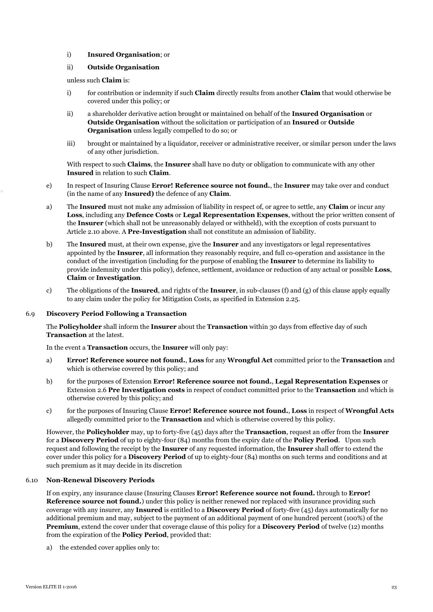## i) **Insured Organisation**; or

## ii) **Outside Organisation**

#### unless such **Claim** is:

- i) for contribution or indemnity if such **Claim** directly results from another **Claim** that would otherwise be covered under this policy; or
- ii) a shareholder derivative action brought or maintained on behalf of the **Insured Organisation** or **Outside Organisation** without the solicitation or participation of an **Insured** or **Outside Organisation** unless legally compelled to do so; or
- iii) brought or maintained by a liquidator, receiver or administrative receiver, or similar person under the laws of any other jurisdiction.

With respect to such **Claims**, the **Insurer** shall have no duty or obligation to communicate with any other **Insured** in relation to such **Claim**.

- e) In respect of Insuring Clause **Error! Reference source not found.**, the **Insurer** may take over and conduct (in the name of any **Insured)** the defence of any **Claim**.
- a) The **Insured** must not make any admission of liability in respect of, or agree to settle, any **Claim** or incur any **Loss**, including any **Defence Costs** or **Legal Representation Expenses**, without the prior written consent of the **Insurer** (which shall not be unreasonably delayed or withheld), with the exception of costs pursuant to Article 2.10 above. A **Pre-Investigation** shall not constitute an admission of liability.
- b) The **Insured** must, at their own expense, give the **Insurer** and any investigators or legal representatives appointed by the **Insurer**, all information they reasonably require, and full co-operation and assistance in the conduct of the investigation (including for the purpose of enabling the **Insurer** to determine its liability to provide indemnity under this policy), defence, settlement, avoidance or reduction of any actual or possible **Loss**, **Claim** or **Investigation**.
- c) The obligations of the **Insured**, and rights of the **Insurer**, in sub-clauses (f) and (g) of this clause apply equally to any claim under the policy for Mitigation Costs, as specified in Extension 2.25.

#### 6.9 **Discovery Period Following a Transaction**

The **Policyholder** shall inform the **Insurer** about the **Transaction** within 30 days from effective day of such **Transaction** at the latest.

In the event a **Transaction** occurs, the **Insurer** will only pay:

- a) **Error! Reference source not found.**, **Loss** for any **Wrongful Act** committed prior to the **Transaction** and which is otherwise covered by this policy; and
- b) for the purposes of Extension **Error! Reference source not found.**, **Legal Representation Expenses** or Extension 2.6 **Pre Investigation costs** in respect of conduct committed prior to the **Transaction** and which is otherwise covered by this policy; and
- c) for the purposes of Insuring Clause **Error! Reference source not found.**, **Loss** in respect of **Wrongful Acts**  allegedly committed prior to the **Transaction** and which is otherwise covered by this policy.

However, the **Policyholder** may, up to forty-five (45) days after the **Transaction**, request an offer from the **Insurer** for a **Discovery Period** of up to eighty-four (84) months from the expiry date of the **Policy Period**. Upon such request and following the receipt by the **Insurer** of any requested information, the **Insurer** shall offer to extend the cover under this policy for a **Discovery Period** of up to eighty-four (84) months on such terms and conditions and at such premium as it may decide in its discretion

#### 6.10 **Non-Renewal Discovery Periods**

If on expiry, any insurance clause (Insuring Clauses **Error! Reference source not found.** through to **Error! Reference source not found.**) under this policy is neither renewed nor replaced with insurance providing such coverage with any insurer, any **Insured** is entitled to a **Discovery Period** of forty-five (45) days automatically for no additional premium and may, subject to the payment of an additional payment of one hundred percent (100%) of the **Premium**, extend the cover under that coverage clause of this policy for a **Discovery Period** of twelve (12) months from the expiration of the **Policy Period**, provided that:

a) the extended cover applies only to: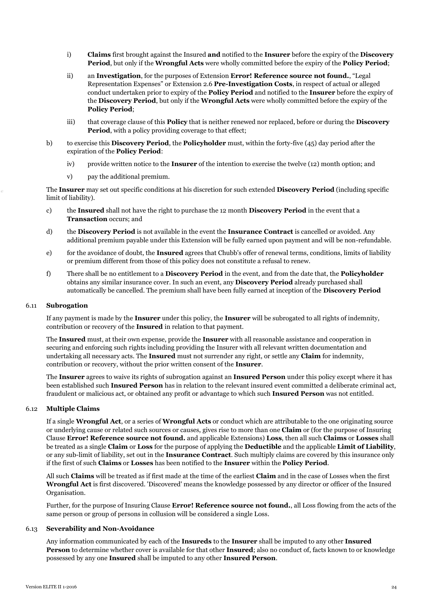- i) **Claims** first brought against the Insured **and** notified to the **Insurer** before the expiry of the **Discovery Period**, but only if the **Wrongful Acts** were wholly committed before the expiry of the **Policy Period**;
- ii) an **Investigation**, for the purposes of Extension **Error! Reference source not found.**, "Legal Representation Expenses" or Extension 2.6 **Pre-Investigation Costs**, in respect of actual or alleged conduct undertaken prior to expiry of the **Policy Period** and notified to the **Insurer** before the expiry of the **Discovery Period**, but only if the **Wrongful Acts** were wholly committed before the expiry of the **Policy Period**;
- iii) that coverage clause of this **Policy** that is neither renewed nor replaced, before or during the **Discovery Period**, with a policy providing coverage to that effect;
- b) to exercise this **Discovery Period**, the **Policyholder** must, within the forty-five (45) day period after the expiration of the **Policy Period**:
	- iv) provide written notice to the **Insurer** of the intention to exercise the twelve (12) month option; and
	- v) pay the additional premium.

The **Insurer** may set out specific conditions at his discretion for such extended **Discovery Period** (including specific limit of liability).

- c) the **Insured** shall not have the right to purchase the 12 month **Discovery Period** in the event that a **Transaction** occurs; and
- d) the **Discovery Period** is not available in the event the **Insurance Contract** is cancelled or avoided. Any additional premium payable under this Extension will be fully earned upon payment and will be non-refundable.
- e) for the avoidance of doubt, the **Insured** agrees that Chubb's offer of renewal terms, conditions, limits of liability or premium different from those of this policy does not constitute a refusal to renew.
- f) There shall be no entitlement to a **Discovery Period** in the event, and from the date that, the **Policyholder**  obtains any similar insurance cover. In such an event, any **Discovery Period** already purchased shall automatically be cancelled. The premium shall have been fully earned at inception of the **Discovery Period**

#### 6.11 **Subrogation**

If any payment is made by the **Insurer** under this policy, the **Insurer** will be subrogated to all rights of indemnity, contribution or recovery of the **Insured** in relation to that payment.

The **Insured** must, at their own expense, provide the **Insurer** with all reasonable assistance and cooperation in securing and enforcing such rights including providing the Insurer with all relevant written documentation and undertaking all necessary acts. The **Insured** must not surrender any right, or settle any **Claim** for indemnity, contribution or recovery, without the prior written consent of the **Insurer**.

The **Insurer** agrees to waive its rights of subrogation against an **Insured Person** under this policy except where it has been established such **Insured Person** has in relation to the relevant insured event committed a deliberate criminal act, fraudulent or malicious act, or obtained any profit or advantage to which such **Insured Person** was not entitled.

## 6.12 **Multiple Claims**

If a single **Wrongful Act**, or a series of **Wrongful Acts** or conduct which are attributable to the one originating source or underlying cause or related such sources or causes, gives rise to more than one **Claim** or (for the purpose of Insuring Clause **Error! Reference source not found.** and applicable Extensions) **Loss**, then all such **Claims** or **Losses** shall be treated as a single **Claim** or **Loss** for the purpose of applying the **Deductible** and the applicable **Limit of Liability**, or any sub-limit of liability, set out in the **Insurance Contract**. Such multiply claims are covered by this insurance only if the first of such **Claims** or **Losses** has been notified to the **Insurer** within the **Policy Period**.

All such **Claims** will be treated as if first made at the time of the earliest **Claim** and in the case of Losses when the first **Wrongful Act** is first discovered. 'Discovered' means the knowledge possessed by any director or officer of the Insured Organisation.

Further, for the purpose of Insuring Clause **Error! Reference source not found.**, all Loss flowing from the acts of the same person or group of persons in collusion will be considered a single Loss.

#### 6.13 **Severability and Non-Avoidance**

Any information communicated by each of the **Insureds** to the **Insurer** shall be imputed to any other **Insured Person** to determine whether cover is available for that other **Insured**; also no conduct of, facts known to or knowledge possessed by any one **Insured** shall be imputed to any other **Insured Person**.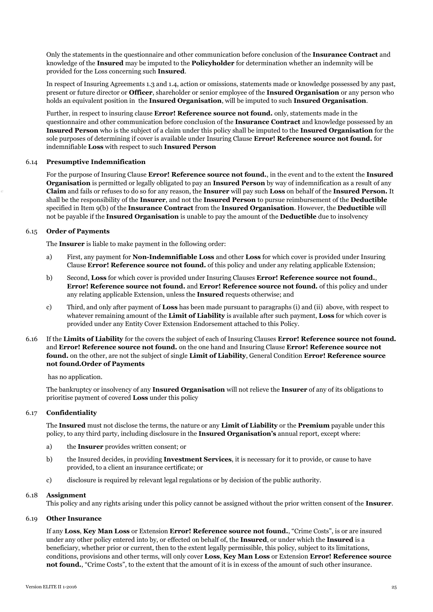Only the statements in the questionnaire and other communication before conclusion of the **Insurance Contract** and knowledge of the **Insured** may be imputed to the **Policyholder** for determination whether an indemnity will be provided for the Loss concerning such **Insured**.

In respect of Insuring Agreements 1.3 and 1.4, action or omissions, statements made or knowledge possessed by any past, present or future director or **Officer**, shareholder or senior employee of the **Insured Organisation** or any person who holds an equivalent position in the **Insured Organisation**, will be imputed to such **Insured Organisation**.

Further, in respect to insuring clause **Error! Reference source not found.** only, statements made in the questionnaire and other communication before conclusion of the **Insurance Contract** and knowledge possessed by an **Insured Person** who is the subject of a claim under this policy shall be imputed to the **Insured Organisation** for the sole purposes of determining if cover is available under Insuring Clause **Error! Reference source not found.** for indemnifiable **Loss** with respect to such **Insured Person**

## 6.14 **Presumptive Indemnification**

For the purpose of Insuring Clause **Error! Reference source not found.**, in the event and to the extent the **Insured Organisation** is permitted or legally obligated to pay an **Insured Person** by way of indemnification as a result of any **Claim** and fails or refuses to do so for any reason, the **Insurer** will pay such **Loss** on behalf of the **Insured Person.** It shall be the responsibility of the **Insurer**, and not the **Insured Person** to pursue reimbursement of the **Deductible**  specified in Item 9(b) of the **Insurance Contract** from the **Insured Organisation**. However, the **Deductible** will not be payable if the **Insured Organisation** is unable to pay the amount of the **Deductible** due to insolvency

#### 6.15 **Order of Payments**

The **Insurer** is liable to make payment in the following order:

- a) First, any payment for **Non-Indemnifiable Loss** and other **Loss** for which cover is provided under Insuring Clause **Error! Reference source not found.** of this policy and under any relating applicable Extension;
- b) Second, **Loss** for which cover is provided under Insuring Clauses **Error! Reference source not found.**, **Error! Reference source not found.** and **Error! Reference source not found.** of this policy and under any relating applicable Extension, unless the **Insured** requests otherwise; and
- c) Third, and only after payment of **Loss** has been made pursuant to paragraphs (i) and (ii) above, with respect to whatever remaining amount of the **Limit of Liability** is available after such payment, **Loss** for which cover is provided under any Entity Cover Extension Endorsement attached to this Policy.
- 6.16 If the **Limits of Liability** for the covers the subject of each of Insuring Clauses **Error! Reference source not found.** and **Error! Reference source not found.** on the one hand and Insuring Clause **Error! Reference source not found.** on the other, are not the subject of single **Limit of Liability**, General Condition **Error! Reference source not found.Order of Payments**

has no application.

The bankruptcy or insolvency of any **Insured Organisation** will not relieve the **Insurer** of any of its obligations to prioritise payment of covered **Loss** under this policy

#### 6.17 **Confidentiality**

The **Insured** must not disclose the terms, the nature or any **Limit of Liability** or the **Premium** payable under this policy, to any third party, including disclosure in the **Insured Organisation's** annual report, except where:

- a) the **Insurer** provides written consent; or
- b) the Insured decides, in providing **Investment Services**, it is necessary for it to provide, or cause to have provided, to a client an insurance certificate; or
- c) disclosure is required by relevant legal regulations or by decision of the public authority.

#### 6.18 **Assignment**

This policy and any rights arising under this policy cannot be assigned without the prior written consent of the **Insurer**.

#### 6.19 **Other Insurance**

If any **Loss**, **Key Man Loss** or Extension **Error! Reference source not found.**, "Crime Costs", is or are insured under any other policy entered into by, or effected on behalf of, the **Insured**, or under which the **Insured** is a beneficiary, whether prior or current, then to the extent legally permissible, this policy, subject to its limitations, conditions, provisions and other terms, will only cover **Loss**, **Key Man Loss** or Extension **Error! Reference source not found.**, "Crime Costs", to the extent that the amount of it is in excess of the amount of such other insurance.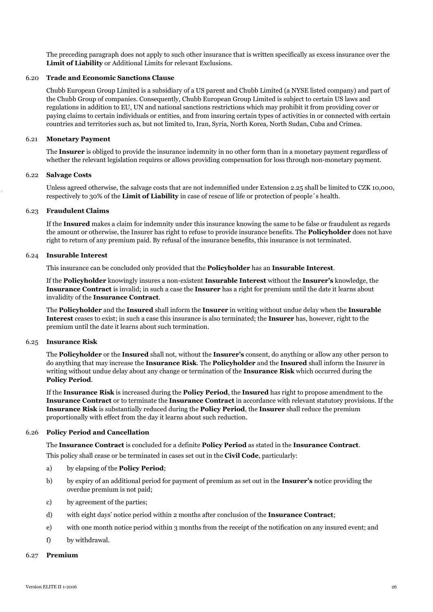The preceding paragraph does not apply to such other insurance that is written specifically as excess insurance over the **Limit of Liability** or Additional Limits for relevant Exclusions.

## 6.20 **Trade and Economic Sanctions Clause**

Chubb European Group Limited is a subsidiary of a US parent and Chubb Limited (a NYSE listed company) and part of the Chubb Group of companies. Consequently, Chubb European Group Limited is subject to certain US laws and regulations in addition to EU, UN and national sanctions restrictions which may prohibit it from providing cover or paying claims to certain individuals or entities, and from insuring certain types of activities in or connected with certain countries and territories such as, but not limited to, Iran, Syria, North Korea, North Sudan, Cuba and Crimea.

#### 6.21 **Monetary Payment**

The **Insurer** is obliged to provide the insurance indemnity in no other form than in a monetary payment regardless of whether the relevant legislation requires or allows providing compensation for loss through non-monetary payment.

#### 6.22 **Salvage Costs**

Unless agreed otherwise, the salvage costs that are not indemnified under Extension 2.25 shall be limited to CZK 10,000, respectively to 30% of the **Limit of Liability** in case of rescue of life or protection of people´s health.

## 6.23 **Fraudulent Claims**

If the **Insured** makes a claim for indemnity under this insurance knowing the same to be false or fraudulent as regards the amount or otherwise, the Insurer has right to refuse to provide insurance benefits. The **Policyholder** does not have right to return of any premium paid. By refusal of the insurance benefits, this insurance is not terminated.

#### 6.24 **Insurable Interest**

This insurance can be concluded only provided that the **Policyholder** has an **Insurable Interest**.

If the **Policyholder** knowingly insures a non-existent **Insurable Interest** without the **Insurer's** knowledge, the **Insurance Contract** is invalid; in such a case the **Insurer** has a right for premium until the date it learns about invalidity of the **Insurance Contract**.

The **Policyholder** and the **Insured** shall inform the **Insurer** in writing without undue delay when the **Insurable Interest** ceases to exist; in such a case this insurance is also terminated; the **Insurer** has, however, right to the premium until the date it learns about such termination.

#### 6.25 **Insurance Risk**

The **Policyholder** or the **Insured** shall not, without the **Insurer's** consent, do anything or allow any other person to do anything that may increase the **Insurance Risk**. The **Policyholder** and the **Insured** shall inform the Insurer in writing without undue delay about any change or termination of the **Insurance Risk** which occurred during the **Policy Period**.

If the **Insurance Risk** is increased during the **Policy Period**, the **Insured** has right to propose amendment to the **Insurance Contract** or to terminate the **Insurance Contract** in accordance with relevant statutory provisions. If the **Insurance Risk** is substantially reduced during the **Policy Period**, the **Insurer** shall reduce the premium proportionally with effect from the day it learns about such reduction.

## 6.26 **Policy Period and Cancellation**

The **Insurance Contract** is concluded for a definite **Policy Period** as stated in the **Insurance Contract**. This policy shall cease or be terminated in cases set out in the **Civil Code**, particularly:

- a) by elapsing of the **Policy Period**;
- b) by expiry of an additional period for payment of premium as set out in the **Insurer's** notice providing the overdue premium is not paid;
- c) by agreement of the parties;
- d) with eight days' notice period within 2 months after conclusion of the **Insurance Contract**;
- e) with one month notice period within 3 months from the receipt of the notification on any insured event; and
- f) by withdrawal.

## 6.27 **Premium**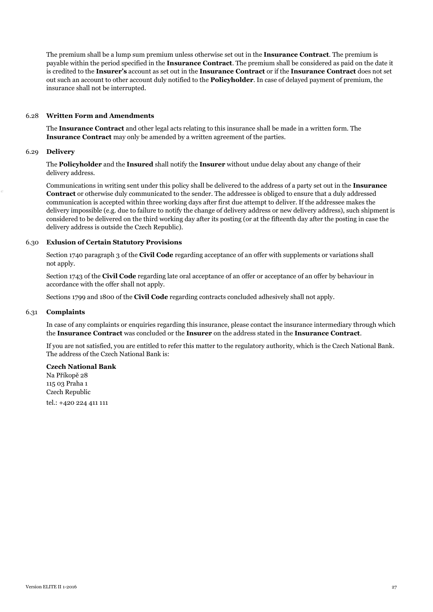The premium shall be a lump sum premium unless otherwise set out in the **Insurance Contract**. The premium is payable within the period specified in the **Insurance Contract**. The premium shall be considered as paid on the date it is credited to the **Insurer's** account as set out in the **Insurance Contract** or if the **Insurance Contract** does not set out such an account to other account duly notified to the **Policyholder**. In case of delayed payment of premium, the insurance shall not be interrupted.

## 6.28 **Written Form and Amendments**

The **Insurance Contract** and other legal acts relating to this insurance shall be made in a written form. The **Insurance Contract** may only be amended by a written agreement of the parties.

#### 6.29 **Delivery**

The **Policyholder** and the **Insured** shall notify the **Insurer** without undue delay about any change of their delivery address.

Communications in writing sent under this policy shall be delivered to the address of a party set out in the **Insurance Contract** or otherwise duly communicated to the sender. The addressee is obliged to ensure that a duly addressed communication is accepted within three working days after first due attempt to deliver. If the addressee makes the delivery impossible (e.g. due to failure to notify the change of delivery address or new delivery address), such shipment is considered to be delivered on the third working day after its posting (or at the fifteenth day after the posting in case the delivery address is outside the Czech Republic).

## 6.30 **Exlusion of Certain Statutory Provisions**

Section 1740 paragraph 3 of the **Civil Code** regarding acceptance of an offer with supplements or variations shall not apply.

Section 1743 of the **Civil Code** regarding late oral acceptance of an offer or acceptance of an offer by behaviour in accordance with the offer shall not apply.

Sections 1799 and 1800 of the **Civil Code** regarding contracts concluded adhesively shall not apply.

#### 6.31 **Complaints**

In case of any complaints or enquiries regarding this insurance, please contact the insurance intermediary through which the **Insurance Contract** was concluded or the **Insurer** on the address stated in the **Insurance Contract**.

If you are not satisfied, you are entitled to refer this matter to the regulatory authority, which is the Czech National Bank. The address of the Czech National Bank is:

#### **Czech National Bank**

Na Příkopě 28 115 03 Praha 1 Czech Republic tel.: +420 224 411 111